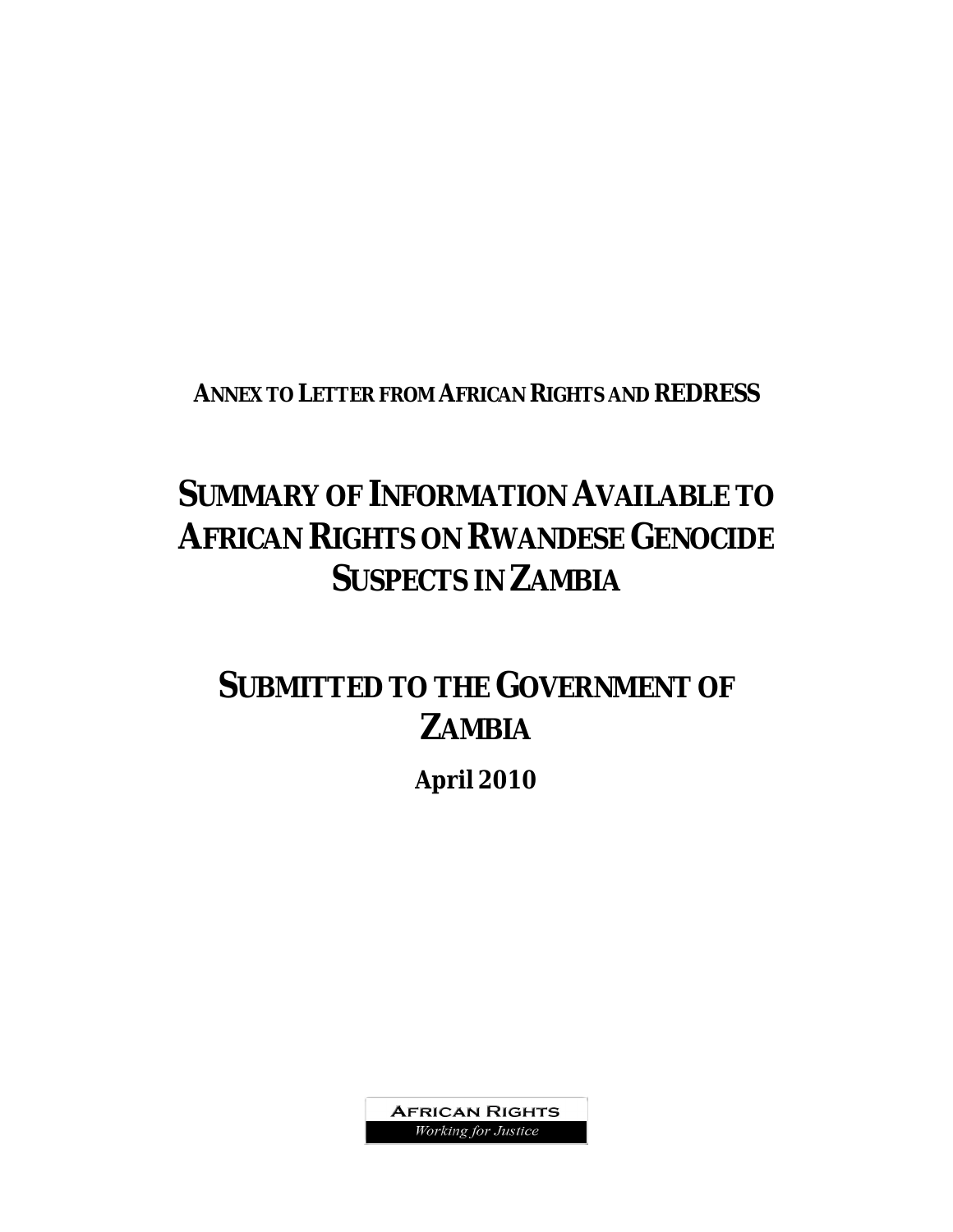**ANNEX TO LETTER FROM AFRICAN RIGHTS AND REDRESS**

# **SUMMARY OF INFORMATION AVAILABLE TO AFRICAN RIGHTS ON RWANDESE GENOCIDE SUSPECTS IN ZAMBIA**

# **SUBMITTED TO THE GOVERNMENT OF ZAMBIA**

**April 2010**

**AFRICAN RIGHTS** Working for Justice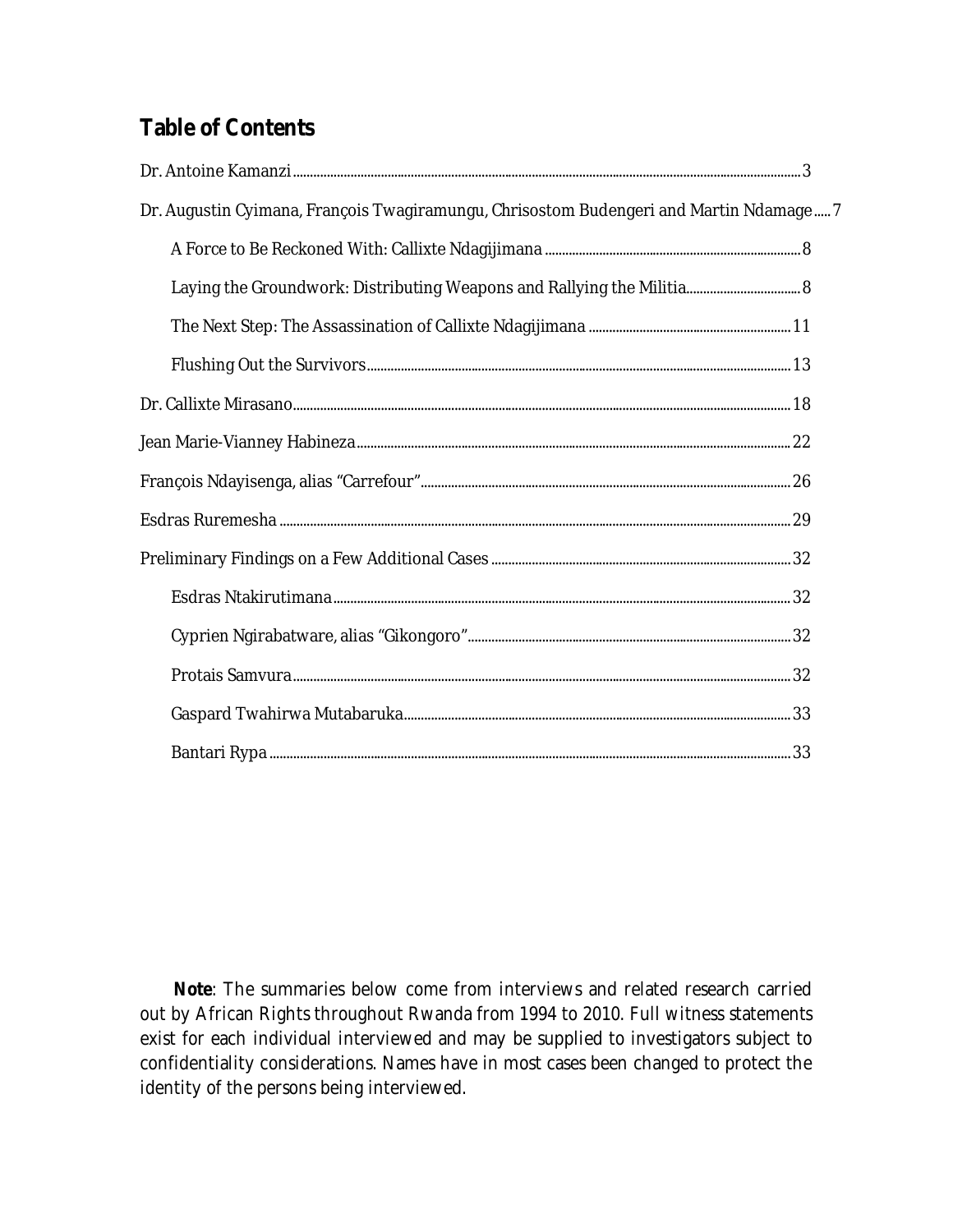# **Table of Contents**

| Dr. Augustin Cyimana, François Twagiramungu, Chrisostom Budengeri and Martin Ndamage 7 |  |
|----------------------------------------------------------------------------------------|--|
|                                                                                        |  |
| Laying the Groundwork: Distributing Weapons and Rallying the Militia 8                 |  |
|                                                                                        |  |
|                                                                                        |  |
|                                                                                        |  |
|                                                                                        |  |
|                                                                                        |  |
|                                                                                        |  |
|                                                                                        |  |
|                                                                                        |  |
|                                                                                        |  |
|                                                                                        |  |
|                                                                                        |  |
|                                                                                        |  |

**Note**: The summaries below come from interviews and related research carried out by *African Rights* throughout Rwanda from 1994 to 2010. Full witness statements exist for each individual interviewed and may be supplied to investigators subject to confidentiality considerations. Names have in most cases been changed to protect the identity of the persons being interviewed.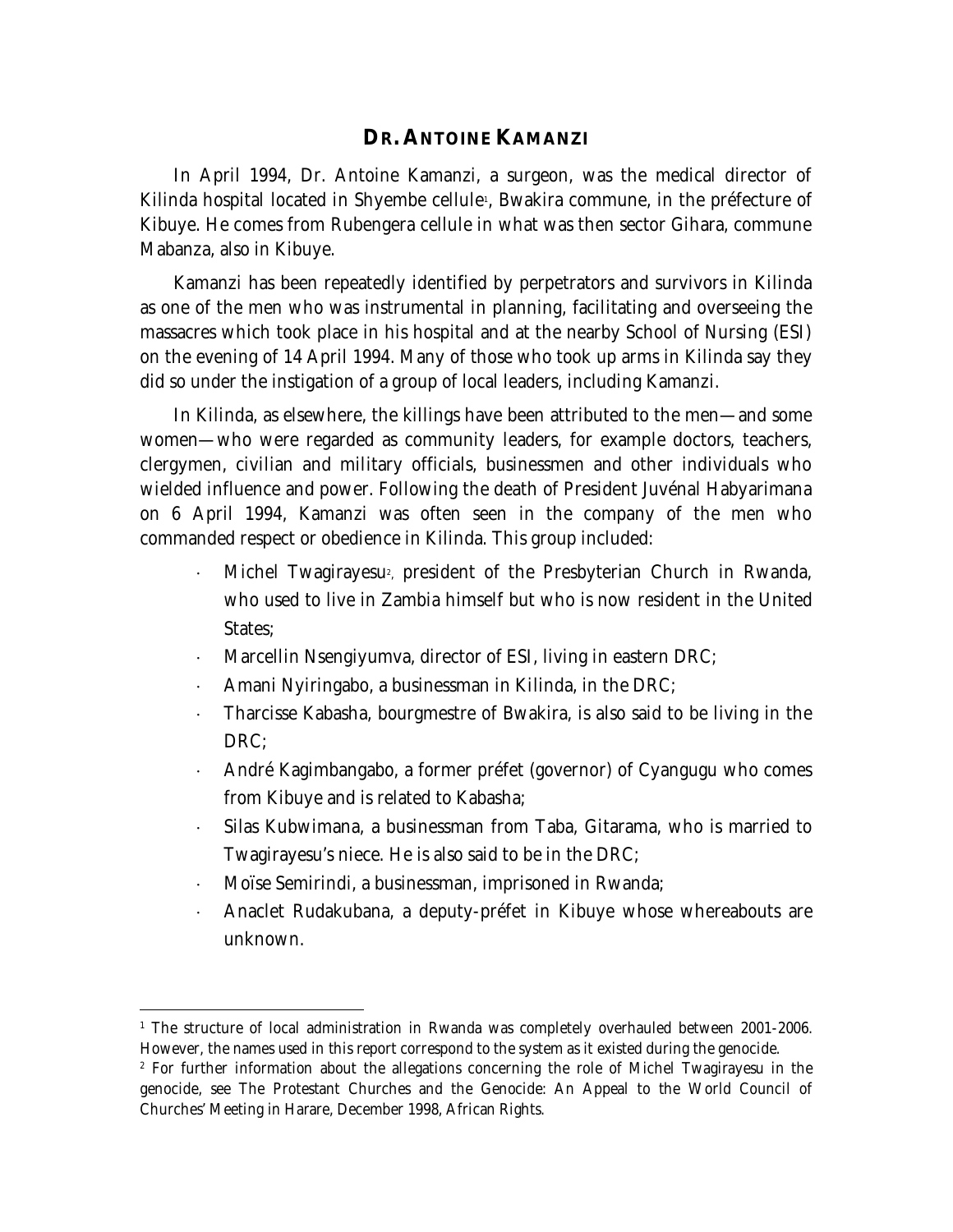#### **DR. ANTOINE KAMANZI**

In April 1994, Dr. Antoine Kamanzi, a surgeon, was the medical director of Kilinda hospital located in Shyembe cellule<sub>'</sub>, Bwakira commune, in the préfecture of Kibuye. He comes from Rubengera cellule in what was then sector Gihara, commune Mabanza, also in Kibuye.

Kamanzi has been repeatedly identified by perpetrators and survivors in Kilinda as one of the men who was instrumental in planning, facilitating and overseeing the massacres which took place in his hospital and at the nearby School of Nursing (ESI) on the evening of 14 April 1994. Many of those who took up arms in Kilinda say they did so under the instigation of a group of local leaders, including Kamanzi.

In Kilinda, as elsewhere, the killings have been attributed to the men—and some women—who were regarded as community leaders, for example doctors, teachers, clergymen, civilian and military officials, businessmen and other individuals who wielded influence and power. Following the death of President Juvénal Habyarimana on 6 April 1994, Kamanzi was often seen in the company of the men who commanded respect or obedience in Kilinda. This group included:

- $\cdot$  Michel Twagirayesu<sup>2</sup>, president of the Presbyterian Church in Rwanda, who used to live in Zambia himself but who is now resident in the United States:
- Marcellin Nsengiyumva, director of ESI, living in eastern DRC;
- Amani Nyiringabo, a businessman in Kilinda, in the DRC;
- Tharcisse Kabasha, bourgmestre of Bwakira, is also said to be living in the DRC;
- André Kagimbangabo, a former préfet (governor) of Cyangugu who comes from Kibuye and is related to Kabasha;
- Silas Kubwimana, a businessman from Taba, Gitarama, who is married to Twagirayesu's niece. He is also said to be in the DRC;
- Moïse Semirindi, a businessman, imprisoned in Rwanda;
- Anaclet Rudakubana, a deputy-préfet in Kibuye whose whereabouts are unknown.

 $\overline{a}$ <sup>1</sup> The structure of local administration in Rwanda was completely overhauled between 2001-2006. However, the names used in this report correspond to the system as it existed during the genocide.

<sup>&</sup>lt;sup>2</sup> For further information about the allegations concerning the role of Michel Twagirayesu in the genocide, see *The Protestant Churches and the Genocide: An Appeal to the World Council of Churches' Meeting in Harare*, December 1998, African Rights.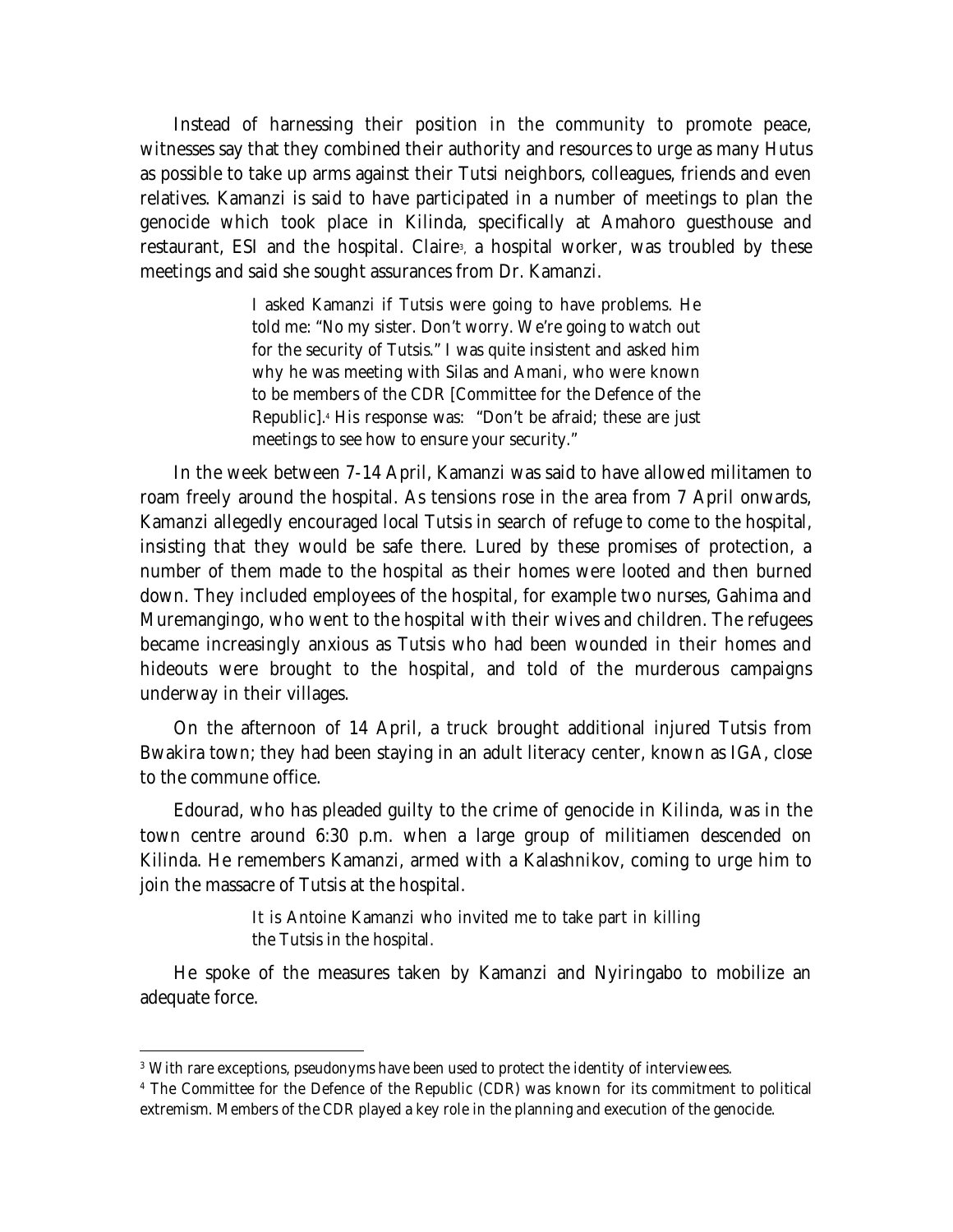Instead of harnessing their position in the community to promote peace, witnesses say that they combined their authority and resources to urge as many Hutus as possible to take up arms against their Tutsi neighbors, colleagues, friends and even relatives. Kamanzi is said to have participated in a number of meetings to plan the genocide which took place in Kilinda, specifically at Amahoro guesthouse and restaurant, ESI and the hospital. Claire<sup>,</sup> a hospital worker, was troubled by these meetings and said she sought assurances from Dr. Kamanzi.

> I asked Kamanzi if Tutsis were going to have problems. He told me: "No my sister. Don't worry. We're going to watch out for the security of Tutsis." I was quite insistent and asked him why he was meeting with Silas and Amani, who were known to be members of the CDR [Committee for the Defence of the Republic].<sup>4</sup> His response was: "Don't be afraid; these are just meetings to see how to ensure your security."

In the week between 7-14 April, Kamanzi was said to have allowed militamen to roam freely around the hospital. As tensions rose in the area from 7 April onwards, Kamanzi allegedly encouraged local Tutsis in search of refuge to come to the hospital, insisting that they would be safe there. Lured by these promises of protection, a number of them made to the hospital as their homes were looted and then burned down. They included employees of the hospital, for example two nurses, Gahima and Muremangingo, who went to the hospital with their wives and children. The refugees became increasingly anxious as Tutsis who had been wounded in their homes and hideouts were brought to the hospital, and told of the murderous campaigns underway in their villages.

On the afternoon of 14 April, a truck brought additional injured Tutsis from Bwakira town; they had been staying in an adult literacy center, known as IGA, close to the commune office.

Edourad, who has pleaded guilty to the crime of genocide in Kilinda, was in the town centre around 6:30 p.m. when a large group of militiamen descended on Kilinda. He remembers Kamanzi, armed with a Kalashnikov, coming to urge him to join the massacre of Tutsis at the hospital.

> It is Antoine Kamanzi who invited me to take part in killing the Tutsis in the hospital.

He spoke of the measures taken by Kamanzi and Nyiringabo to mobilize an adequate force.

 $\overline{a}$ 

<sup>&</sup>lt;sup>3</sup> With rare exceptions, pseudonyms have been used to protect the identity of interviewees.

<sup>4</sup> The Committee for the Defence of the Republic (CDR) was known for its commitment to political extremism. Members of the CDR played a key role in the planning and execution of the genocide.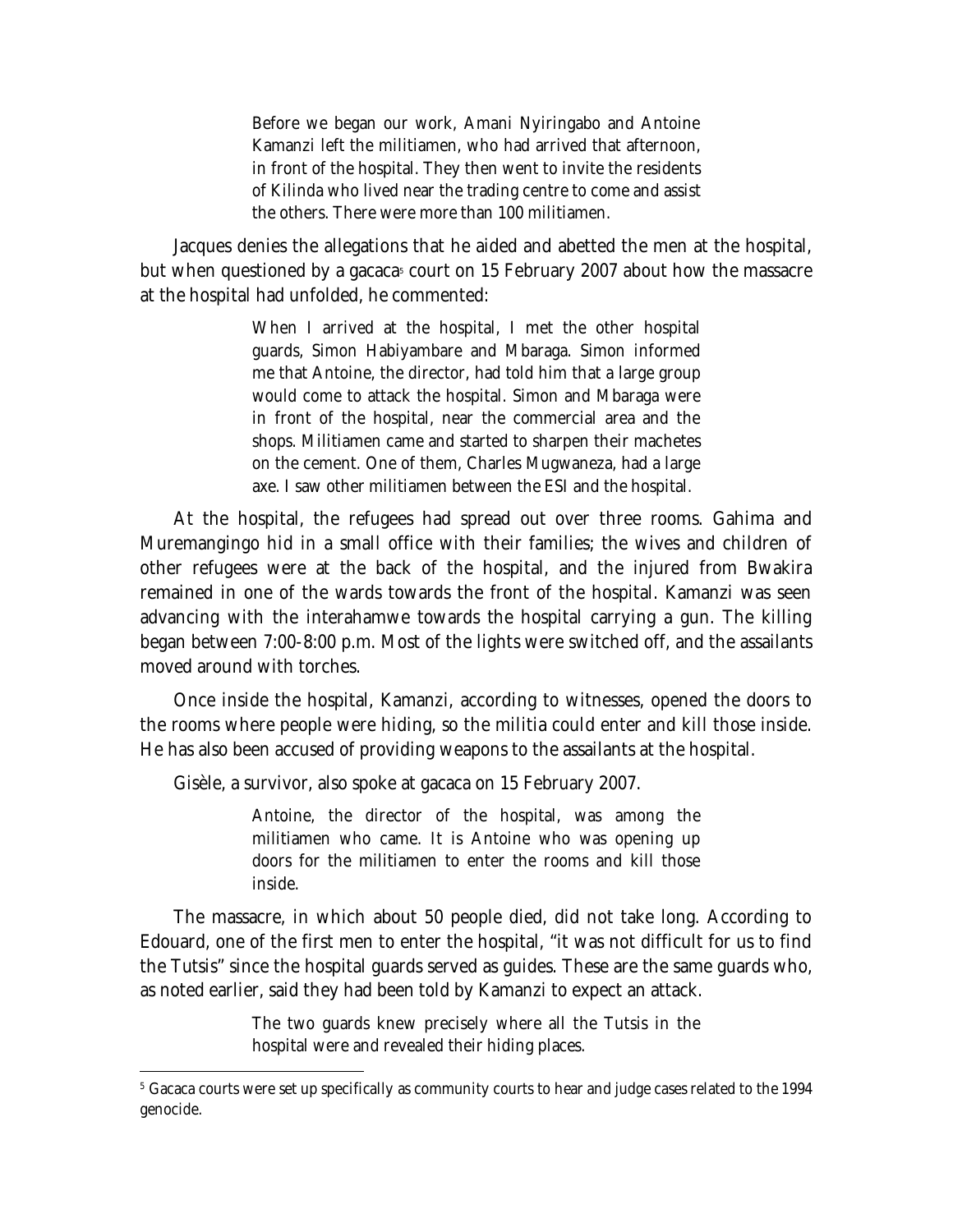Before we began our work, Amani Nyiringabo and Antoine Kamanzi left the militiamen, who had arrived that afternoon, in front of the hospital. They then went to invite the residents of Kilinda who lived near the trading centre to come and assist the others. There were more than 100 militiamen.

Jacques denies the allegations that he aided and abetted the men at the hospital, but when questioned by a *gacaca*<sup>5</sup> court on 15 February 2007 about how the massacre at the hospital had unfolded, he commented:

> When I arrived at the hospital, I met the other hospital guards, Simon Habiyambare and Mbaraga. Simon informed me that Antoine, the director, had told him that a large group would come to attack the hospital. Simon and Mbaraga were in front of the hospital, near the commercial area and the shops. Militiamen came and started to sharpen their machetes on the cement. One of them, Charles Mugwaneza, had a large axe. I saw other militiamen between the ESI and the hospital.

At the hospital, the refugees had spread out over three rooms. Gahima and Muremangingo hid in a small office with their families; the wives and children of other refugees were at the back of the hospital, and the injured from Bwakira remained in one of the wards towards the front of the hospital. Kamanzi was seen advancing with the interahamwe towards the hospital carrying a gun. The killing began between 7:00-8:00 p.m. Most of the lights were switched off, and the assailants moved around with torches.

Once inside the hospital, Kamanzi, according to witnesses, opened the doors to the rooms where people were hiding, so the militia could enter and kill those inside. He has also been accused of providing weapons to the assailants at the hospital.

Gisèle, a survivor, also spoke at *gacaca* on 15 February 2007.

 $\overline{a}$ 

Antoine, the director of the hospital, was among the militiamen who came. It is Antoine who was opening up doors for the militiamen to enter the rooms and kill those inside.

The massacre, in which about 50 people died, did not take long. According to Edouard, one of the first men to enter the hospital, "it was not difficult for us to find the Tutsis" since the hospital guards served as guides. These are the same guards who, as noted earlier, said they had been told by Kamanzi to expect an attack.

> The two guards knew precisely where all the Tutsis in the hospital were and revealed their hiding places.

<sup>5</sup> Gacaca courts were set up specifically as community courts to hear and judge cases related to the 1994 genocide.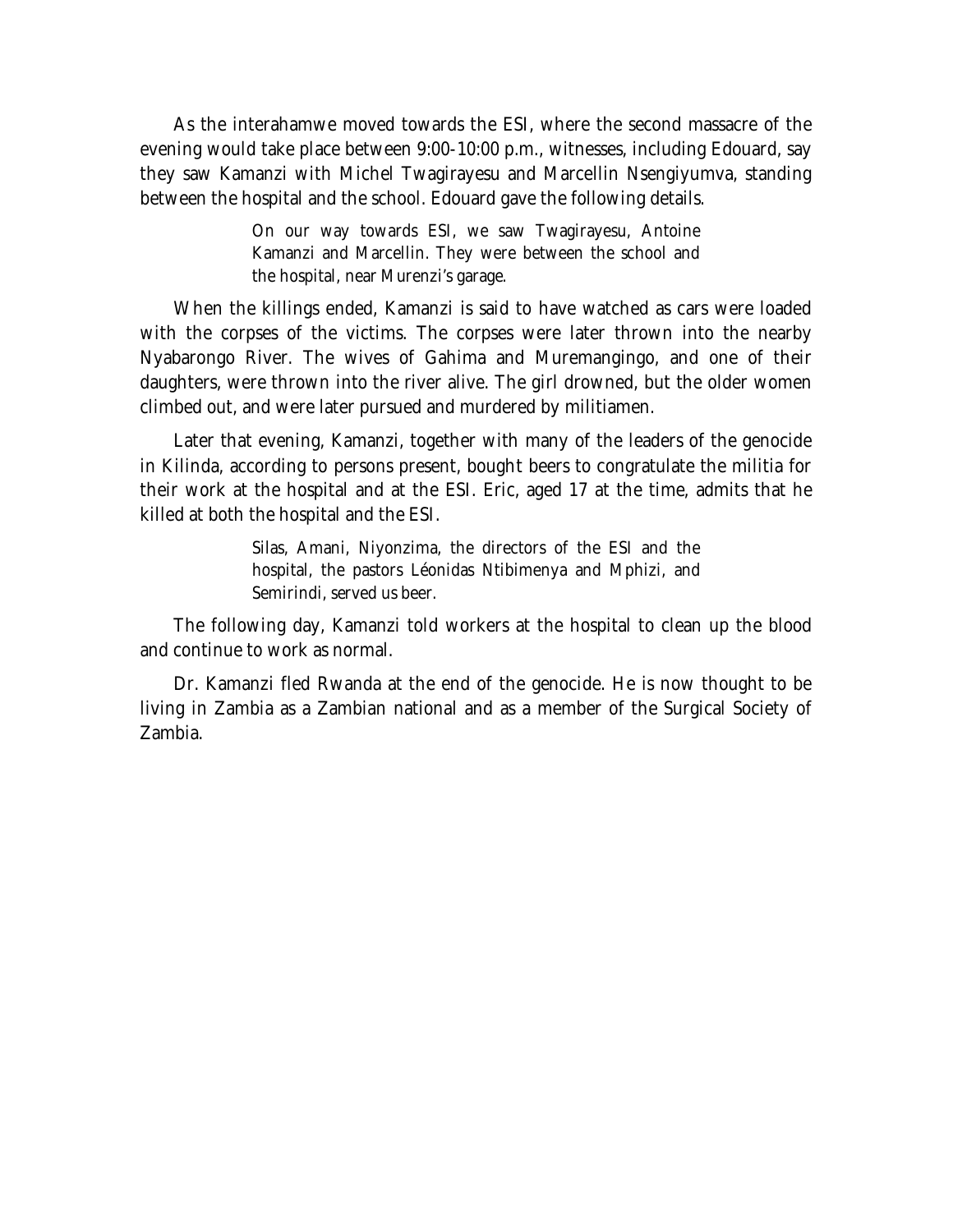As the interahamwe moved towards the ESI, where the second massacre of the evening would take place between 9:00-10:00 p.m., witnesses, including Edouard, say they saw Kamanzi with Michel Twagirayesu and Marcellin Nsengiyumva, standing between the hospital and the school. Edouard gave the following details.

> On our way towards ESI, we saw Twagirayesu, Antoine Kamanzi and Marcellin. They were between the school and the hospital, near Murenzi's garage.

When the killings ended, Kamanzi is said to have watched as cars were loaded with the corpses of the victims. The corpses were later thrown into the nearby Nyabarongo River. The wives of Gahima and Muremangingo, and one of their daughters, were thrown into the river alive. The girl drowned, but the older women climbed out, and were later pursued and murdered by militiamen.

Later that evening, Kamanzi, together with many of the leaders of the genocide in Kilinda, according to persons present, bought beers to congratulate the militia for their work at the hospital and at the ESI. Eric, aged 17 at the time, admits that he killed at both the hospital and the ESI.

> Silas, Amani, Niyonzima, the directors of the ESI and the hospital, the pastors Léonidas Ntibimenya and Mphizi, and Semirindi, served us beer.

The following day, Kamanzi told workers at the hospital to clean up the blood and continue to work as normal.

Dr. Kamanzi fled Rwanda at the end of the genocide. He is now thought to be living in Zambia as a Zambian national and as a member of the Surgical Society of Zambia.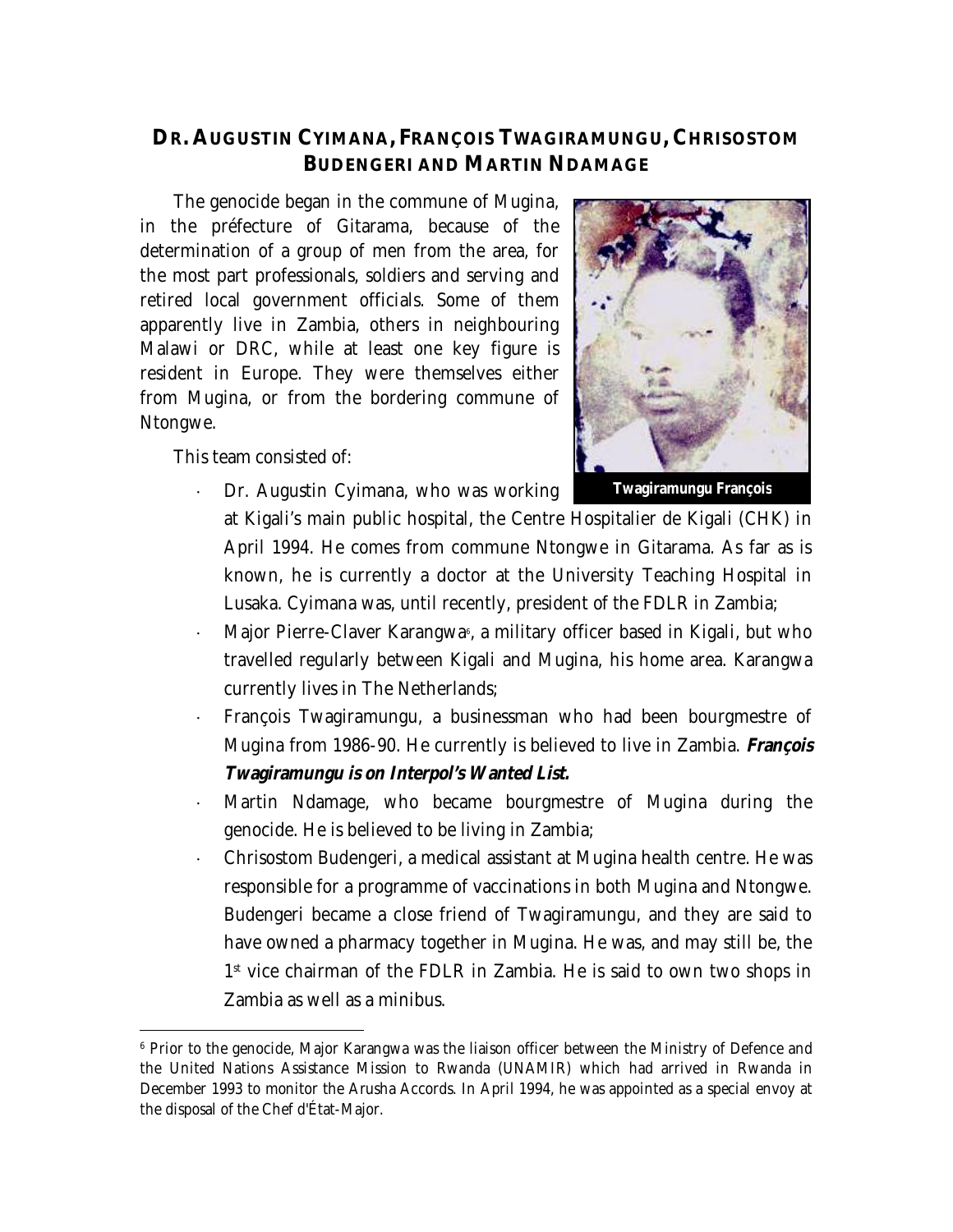# **DR. AUGUSTIN CYIMANA, FRANÇOIS TWAGIRAMUNGU, CHRISOSTOM BUDENGERI AND MARTIN NDAMAGE**

The genocide began in the commune of Mugina, in the préfecture of Gitarama, because of the determination of a group of men from the area, for the most part professionals, soldiers and serving and retired local government officials. Some of them apparently live in Zambia, others in neighbouring Malawi or DRC, while at least one key figure is resident in Europe. They were themselves either from Mugina, or from the bordering commune of Ntongwe.

This team consisted of:

 $\overline{a}$ 

Dr. Augustin Cyimana, who was working



at Kigali's main public hospital, the Centre Hospitalier de Kigali (CHK) in April 1994. He comes from commune Ntongwe in Gitarama. As far as is known, he is currently a doctor at the University Teaching Hospital in Lusaka. Cyimana was, until recently, president of the FDLR in Zambia;

- $\cdot$  Major Pierre-Claver Karangwa $\scriptstyle\rm\scriptstyle s,$  a military officer based in Kigali, but who travelled regularly between Kigali and Mugina, his home area. Karangwa currently lives in The Netherlands;
- François Twagiramungu, a businessman who had been bourgmestre of Mugina from 1986-90. He currently is believed to live in Zambia. *François Twagiramungu is on Interpol's Wanted List.*
- Martin Ndamage, who became bourgmestre of Mugina during the genocide. He is believed to be living in Zambia;
- Chrisostom Budengeri, a medical assistant at Mugina health centre. He was responsible for a programme of vaccinations in both Mugina and Ntongwe. Budengeri became a close friend of Twagiramungu, and they are said to have owned a pharmacy together in Mugina. He was, and may still be, the 1 st vice chairman of the FDLR in Zambia. He is said to own two shops in Zambia as well as a minibus.

<sup>&</sup>lt;sup>6</sup> Prior to the genocide, Major Karangwa was the liaison officer between the Ministry of Defence and the United Nations Assistance Mission to Rwanda (UNAMIR) which had arrived in Rwanda in December 1993 to monitor the Arusha Accords. In April 1994, he was appointed as a special envoy at the disposal of the Chef d'État-Major.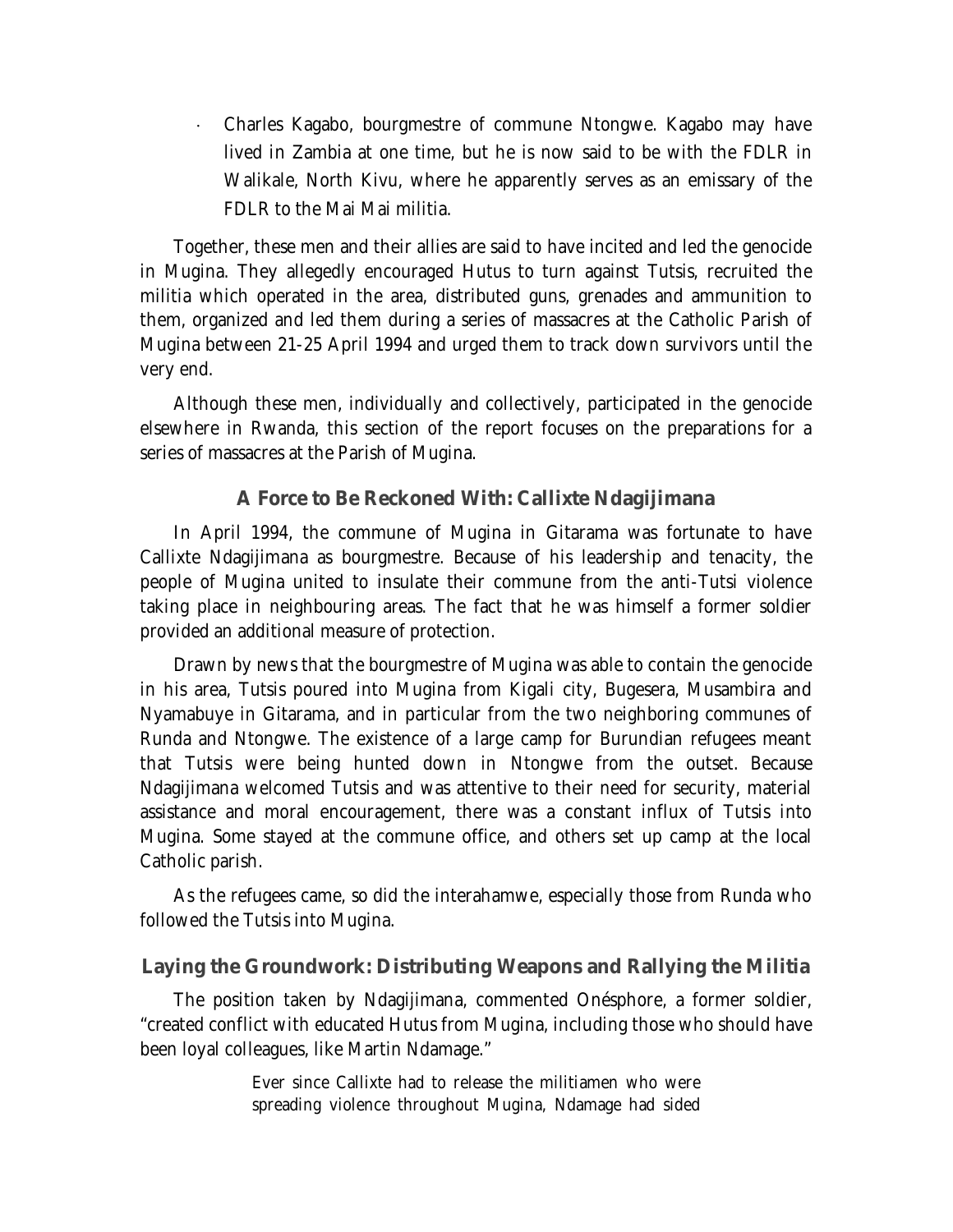Charles Kagabo, bourgmestre of commune Ntongwe. Kagabo may have lived in Zambia at one time, but he is now said to be with the FDLR in Walikale, North Kivu, where he apparently serves as an emissary of the FDLR to the Mai Mai militia.

Together, these men and their allies are said to have incited and led the genocide in Mugina. They allegedly encouraged Hutus to turn against Tutsis, recruited the militia which operated in the area, distributed guns, grenades and ammunition to them, organized and led them during a series of massacres at the Catholic Parish of Mugina between 21-25 April 1994 and urged them to track down survivors until the very end.

Although these men, individually and collectively, participated in the genocide elsewhere in Rwanda, this section of the report focuses on the preparations for a series of massacres at the Parish of Mugina.

#### **A Force to Be Reckoned With: Callixte Ndagijimana**

In April 1994, the commune of Mugina in Gitarama was fortunate to have Callixte Ndagijimana as bourgmestre. Because of his leadership and tenacity, the people of Mugina united to insulate their commune from the anti-Tutsi violence taking place in neighbouring areas. The fact that he was himself a former soldier provided an additional measure of protection.

Drawn by news that the bourgmestre of Mugina was able to contain the genocide in his area, Tutsis poured into Mugina from Kigali city, Bugesera, Musambira and Nyamabuye in Gitarama, and in particular from the two neighboring communes of Runda and Ntongwe. The existence of a large camp for Burundian refugees meant that Tutsis were being hunted down in Ntongwe from the outset. Because Ndagijimana welcomed Tutsis and was attentive to their need for security, material assistance and moral encouragement, there was a constant influx of Tutsis into Mugina. Some stayed at the commune office, and others set up camp at the local Catholic parish.

As the refugees came, so did the interahamwe, especially those from Runda who followed the Tutsis into Mugina.

#### **Laying the Groundwork: Distributing Weapons and Rallying the Militia**

The position taken by Ndagijimana, commented Onésphore, a former soldier, "created conflict with educated Hutus from Mugina, including those who should have been loyal colleagues, like Martin Ndamage."

> Ever since Callixte had to release the militiamen who were spreading violence throughout Mugina, Ndamage had sided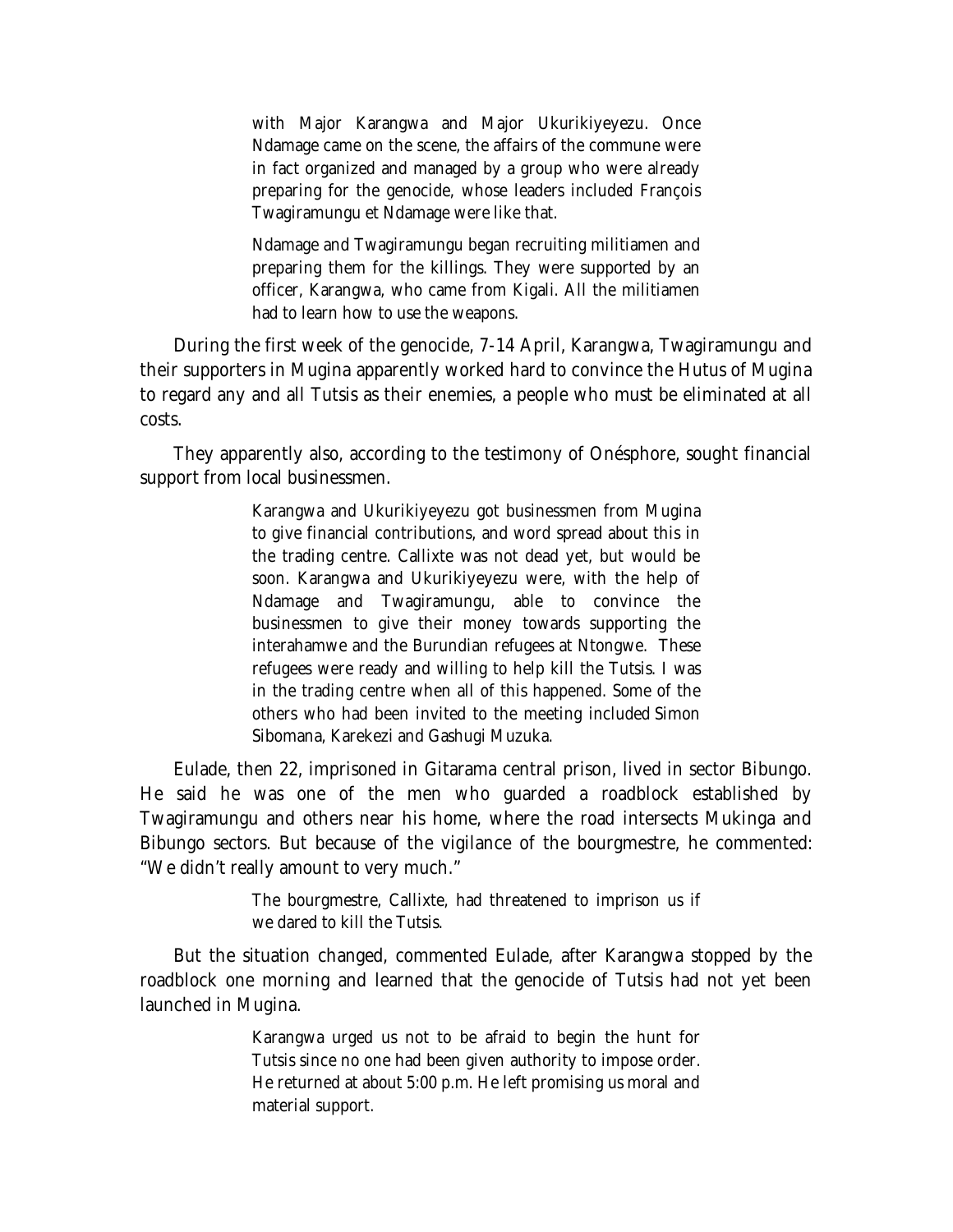with Major Karangwa and Major Ukurikiyeyezu. Once Ndamage came on the scene, the affairs of the commune were in fact organized and managed by a group who were already preparing for the genocide, whose leaders included François Twagiramungu et Ndamage were like that.

Ndamage and Twagiramungu began recruiting militiamen and preparing them for the killings. They were supported by an officer, Karangwa, who came from Kigali. All the militiamen had to learn how to use the weapons.

During the first week of the genocide, 7-14 April, Karangwa, Twagiramungu and their supporters in Mugina apparently worked hard to convince the Hutus of Mugina to regard any and all Tutsis as their enemies, a people who must be eliminated at all costs.

They apparently also, according to the testimony of Onésphore, sought financial support from local businessmen.

> Karangwa and Ukurikiyeyezu got businessmen from Mugina to give financial contributions, and word spread about this in the trading centre. Callixte was not dead yet, but would be soon. Karangwa and Ukurikiyeyezu were, with the help of Ndamage and Twagiramungu, able to convince the businessmen to give their money towards supporting the interahamwe and the Burundian refugees at Ntongwe. These refugees were ready and willing to help kill the Tutsis. I was in the trading centre when all of this happened. Some of the others who had been invited to the meeting included Simon Sibomana, Karekezi and Gashugi Muzuka.

Eulade, then 22, imprisoned in Gitarama central prison, lived in sector Bibungo. He said he was one of the men who guarded a roadblock established by Twagiramungu and others near his home, where the road intersects Mukinga and Bibungo sectors. But because of the vigilance of the bourgmestre, he commented: "We didn't really amount to very much."

> The bourgmestre, Callixte, had threatened to imprison us if we dared to kill the Tutsis.

But the situation changed, commented Eulade, after Karangwa stopped by the roadblock one morning and learned that the genocide of Tutsis had not yet been launched in Mugina.

> Karangwa urged us not to be afraid to begin the hunt for Tutsis since no one had been given authority to impose order. He returned at about 5:00 p.m. He left promising us moral and material support.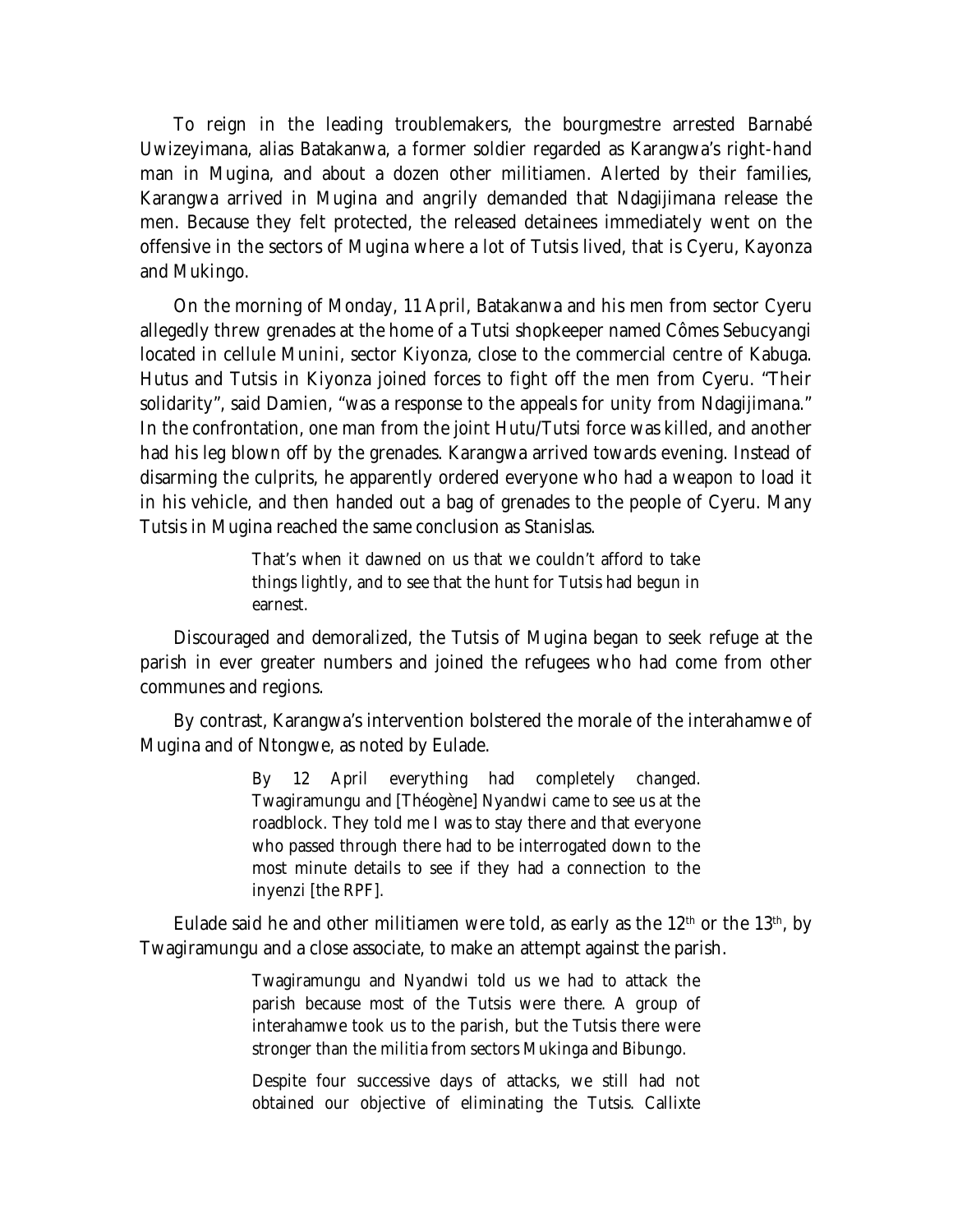To reign in the leading troublemakers, the bourgmestre arrested Barnabé Uwizeyimana, alias Batakanwa, a former soldier regarded as Karangwa's right-hand man in Mugina, and about a dozen other militiamen. Alerted by their families, Karangwa arrived in Mugina and angrily demanded that Ndagijimana release the men. Because they felt protected, the released detainees immediately went on the offensive in the sectors of Mugina where a lot of Tutsis lived, that is Cyeru, Kayonza and Mukingo.

On the morning of Monday, 11 April, Batakanwa and his men from sector Cyeru allegedly threw grenades at the home of a Tutsi shopkeeper named Cômes Sebucyangi located in cellule Munini, sector Kiyonza, close to the commercial centre of Kabuga. Hutus and Tutsis in Kiyonza joined forces to fight off the men from Cyeru. "Their solidarity", said Damien, "was a response to the appeals for unity from Ndagijimana." In the confrontation, one man from the joint Hutu/Tutsi force was killed, and another had his leg blown off by the grenades. Karangwa arrived towards evening. Instead of disarming the culprits, he apparently ordered everyone who had a weapon to load it in his vehicle, and then handed out a bag of grenades to the people of Cyeru. Many Tutsis in Mugina reached the same conclusion as Stanislas.

> That's when it dawned on us that we couldn't afford to take things lightly, and to see that the hunt for Tutsis had begun in earnest.

Discouraged and demoralized, the Tutsis of Mugina began to seek refuge at the parish in ever greater numbers and joined the refugees who had come from other communes and regions.

By contrast, Karangwa's intervention bolstered the morale of the interahamwe of Mugina and of Ntongwe, as noted by Eulade.

> By 12 April everything had completely changed. Twagiramungu and [Théogène] Nyandwi came to see us at the roadblock. They told me I was to stay there and that everyone who passed through there had to be interrogated down to the most minute details to see if they had a connection to the *inyenzi* [the RPF].

Eulade said he and other militiamen were told, as early as the  $12<sup>th</sup>$  or the  $13<sup>th</sup>$ , by Twagiramungu and a close associate, to make an attempt against the parish.

> Twagiramungu and Nyandwi told us we had to attack the parish because most of the Tutsis were there. A group of interahamwe took us to the parish, but the Tutsis there were stronger than the militia from sectors Mukinga and Bibungo.

> Despite four successive days of attacks, we still had not obtained our objective of eliminating the Tutsis. Callixte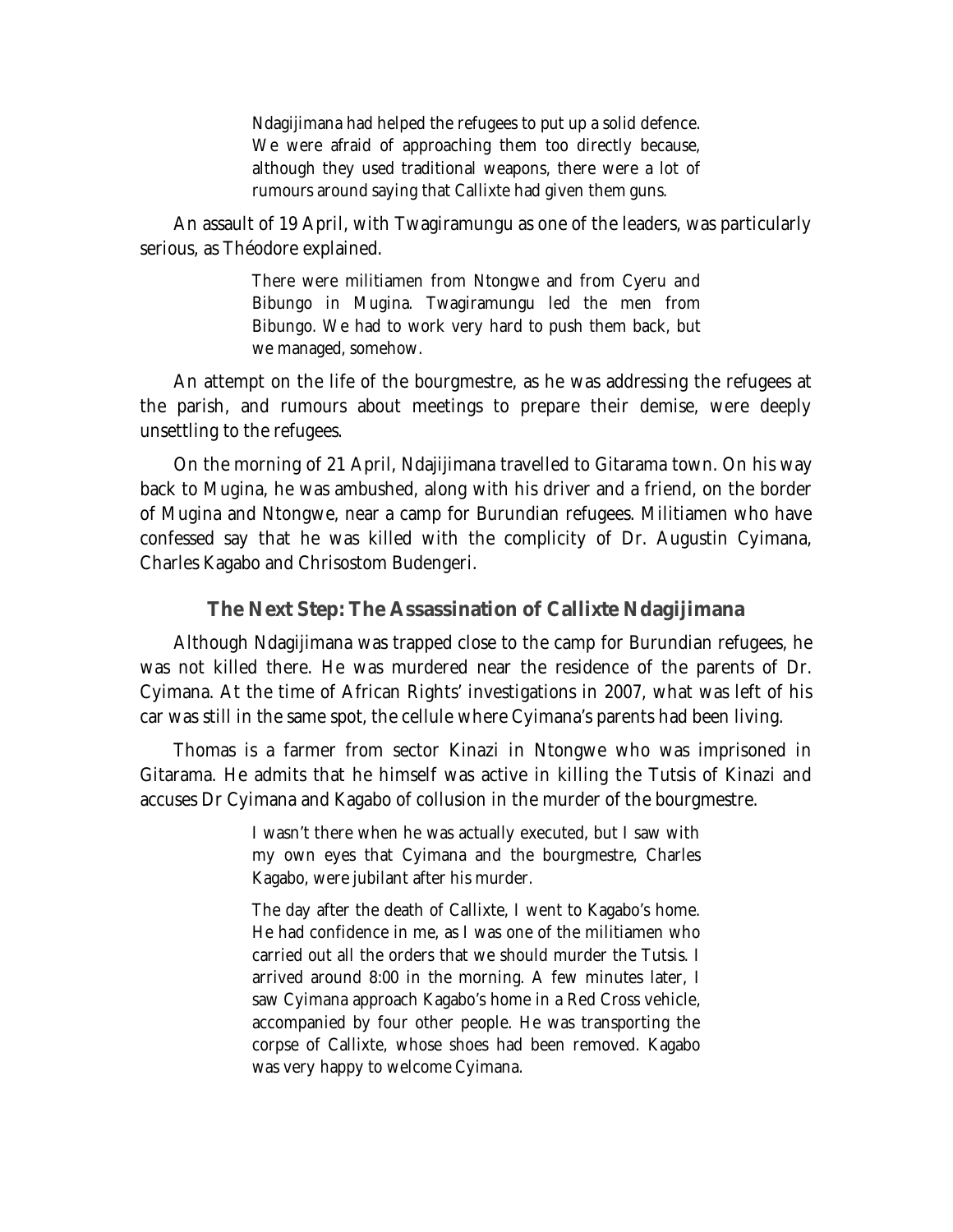Ndagijimana had helped the refugees to put up a solid defence. We were afraid of approaching them too directly because, although they used traditional weapons, there were a lot of rumours around saying that Callixte had given them guns.

An assault of 19 April, with Twagiramungu as one of the leaders, was particularly serious, as Théodore explained.

> There were militiamen from Ntongwe and from Cyeru and Bibungo in Mugina. Twagiramungu led the men from Bibungo. We had to work very hard to push them back, but we managed, somehow.

An attempt on the life of the bourgmestre, as he was addressing the refugees at the parish, and rumours about meetings to prepare their demise, were deeply unsettling to the refugees.

On the morning of 21 April, Ndajijimana travelled to Gitarama town. On his way back to Mugina, he was ambushed, along with his driver and a friend, on the border of Mugina and Ntongwe, near a camp for Burundian refugees. Militiamen who have confessed say that he was killed with the complicity of Dr. Augustin Cyimana, Charles Kagabo and Chrisostom Budengeri.

#### **The Next Step: The Assassination of Callixte Ndagijimana**

Although Ndagijimana was trapped close to the camp for Burundian refugees, he was not killed there. He was murdered near the residence of the parents of Dr. Cyimana. At the time of African Rights' investigations in 2007, what was left of his car was still in the same spot, the cellule where Cyimana's parents had been living.

Thomas is a farmer from sector Kinazi in Ntongwe who was imprisoned in Gitarama. He admits that he himself was active in killing the Tutsis of Kinazi and accuses Dr Cyimana and Kagabo of collusion in the murder of the bourgmestre.

> I wasn't there when he was actually executed, but I saw with my own eyes that Cyimana and the bourgmestre, Charles Kagabo, were jubilant after his murder.

> The day after the death of Callixte, I went to Kagabo's home. He had confidence in me, as I was one of the militiamen who carried out all the orders that we should murder the Tutsis. I arrived around 8:00 in the morning. A few minutes later, I saw Cyimana approach Kagabo's home in a Red Cross vehicle, accompanied by four other people. He was transporting the corpse of Callixte, whose shoes had been removed. Kagabo was very happy to welcome Cyimana.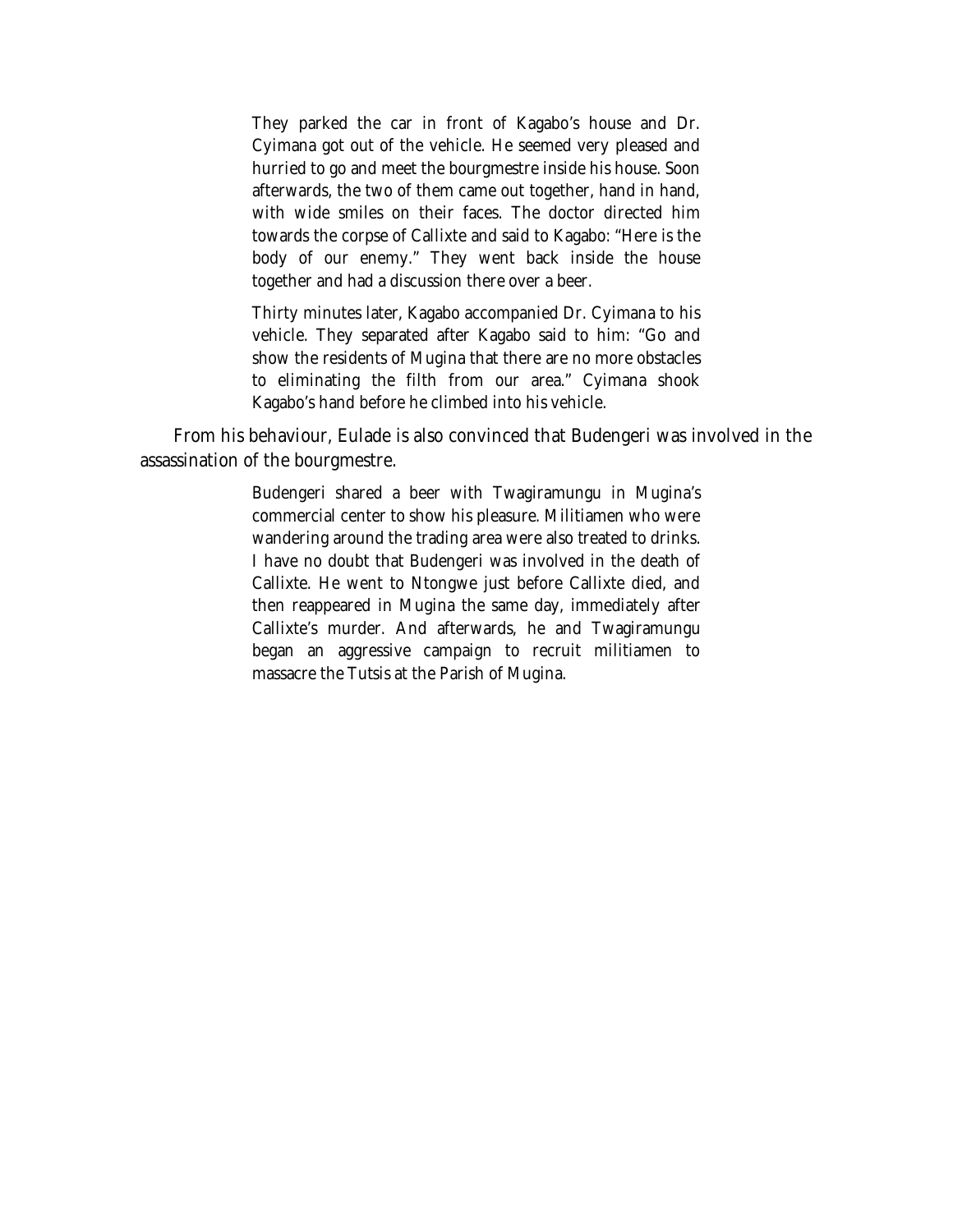They parked the car in front of Kagabo's house and Dr. Cyimana got out of the vehicle. He seemed very pleased and hurried to go and meet the bourgmestre inside his house. Soon afterwards, the two of them came out together, hand in hand, with wide smiles on their faces. The doctor directed him towards the corpse of Callixte and said to Kagabo: "Here is the body of our enemy." They went back inside the house together and had a discussion there over a beer.

Thirty minutes later, Kagabo accompanied Dr. Cyimana to his vehicle. They separated after Kagabo said to him: "Go and show the residents of Mugina that there are no more obstacles to eliminating the filth from our area." Cyimana shook Kagabo's hand before he climbed into his vehicle.

From his behaviour, Eulade is also convinced that Budengeri was involved in the assassination of the bourgmestre.

> Budengeri shared a beer with Twagiramungu in Mugina's commercial center to show his pleasure. Militiamen who were wandering around the trading area were also treated to drinks. I have no doubt that Budengeri was involved in the death of Callixte. He went to Ntongwe just before Callixte died, and then reappeared in Mugina the same day, immediately after Callixte's murder. And afterwards, he and Twagiramungu began an aggressive campaign to recruit militiamen to massacre the Tutsis at the Parish of Mugina.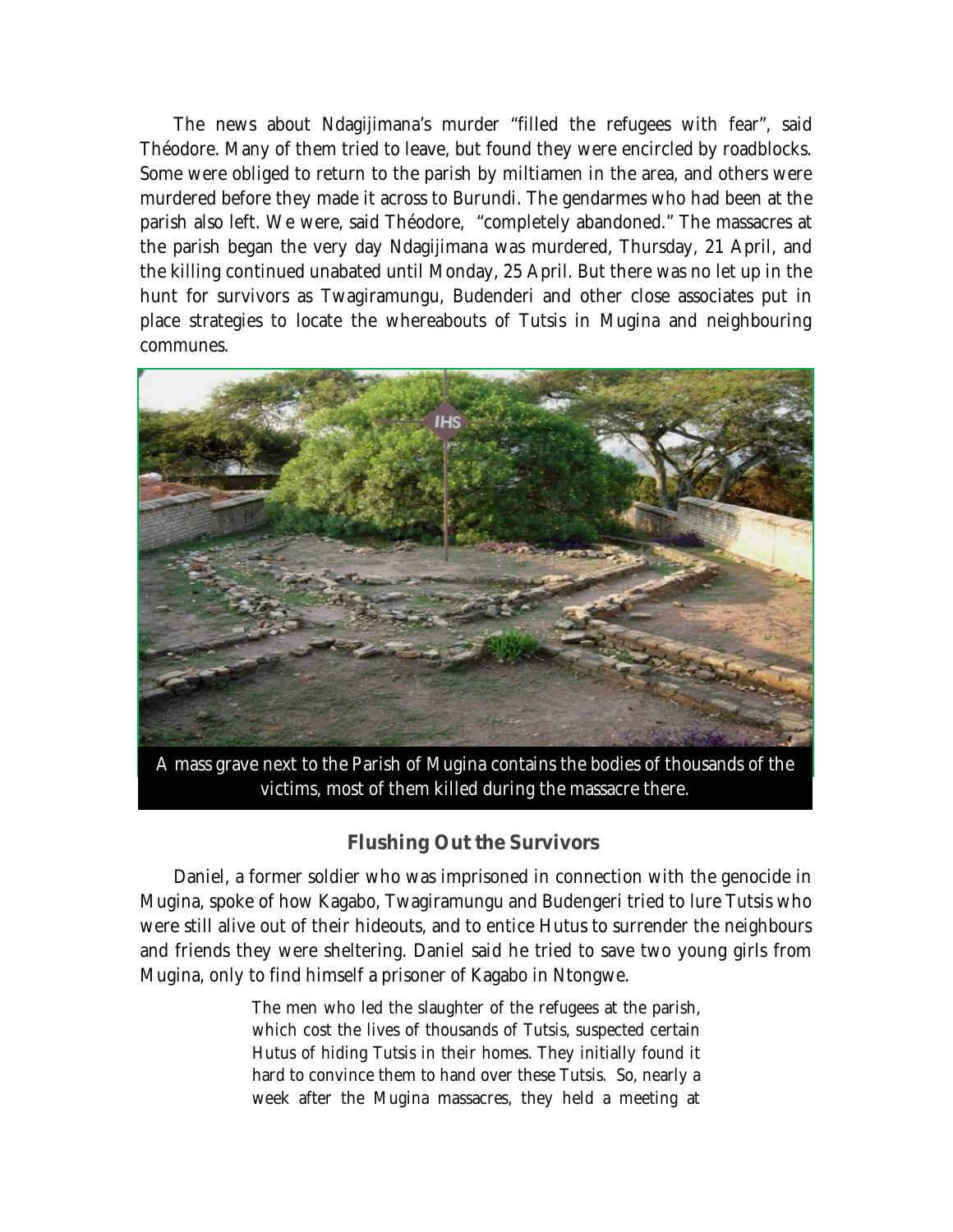The news about Ndagijimana's murder "filled the refugees with fear", said Théodore. Many of them tried to leave, but found they were encircled by roadblocks. Some were obliged to return to the parish by miltiamen in the area, and others were murdered before they made it across to Burundi. The gendarmes who had been at the parish also left. We were, said Théodore, "completely abandoned." The massacres at the parish began the very day Ndagijimana was murdered, Thursday, 21 April, and the killing continued unabated until Monday, 25 April. But there was no let up in the hunt for survivors as Twagiramungu, Budenderi and other close associates put in place strategies to locate the whereabouts of Tutsis in Mugina and neighbouring communes.



A mass grave next to the Parish of Mugina contains the bodies of thousands of the victims, most of them killed during the massacre there.

### **Flushing Out the Survivors**

Daniel, a former soldier who was imprisoned in connection with the genocide in Mugina, spoke of how Kagabo, Twagiramungu and Budengeri tried to lure Tutsis who were still alive out of their hideouts, and to entice Hutus to surrender the neighbours and friends they were sheltering. Daniel said he tried to save two young girls from Mugina, only to find himself a prisoner of Kagabo in Ntongwe.

> The men who led the slaughter of the refugees at the parish, which cost the lives of thousands of Tutsis, suspected certain Hutus of hiding Tutsis in their homes. They initially found it hard to convince them to hand over these Tutsis. So, nearly a week after the Mugina massacres, they held a meeting at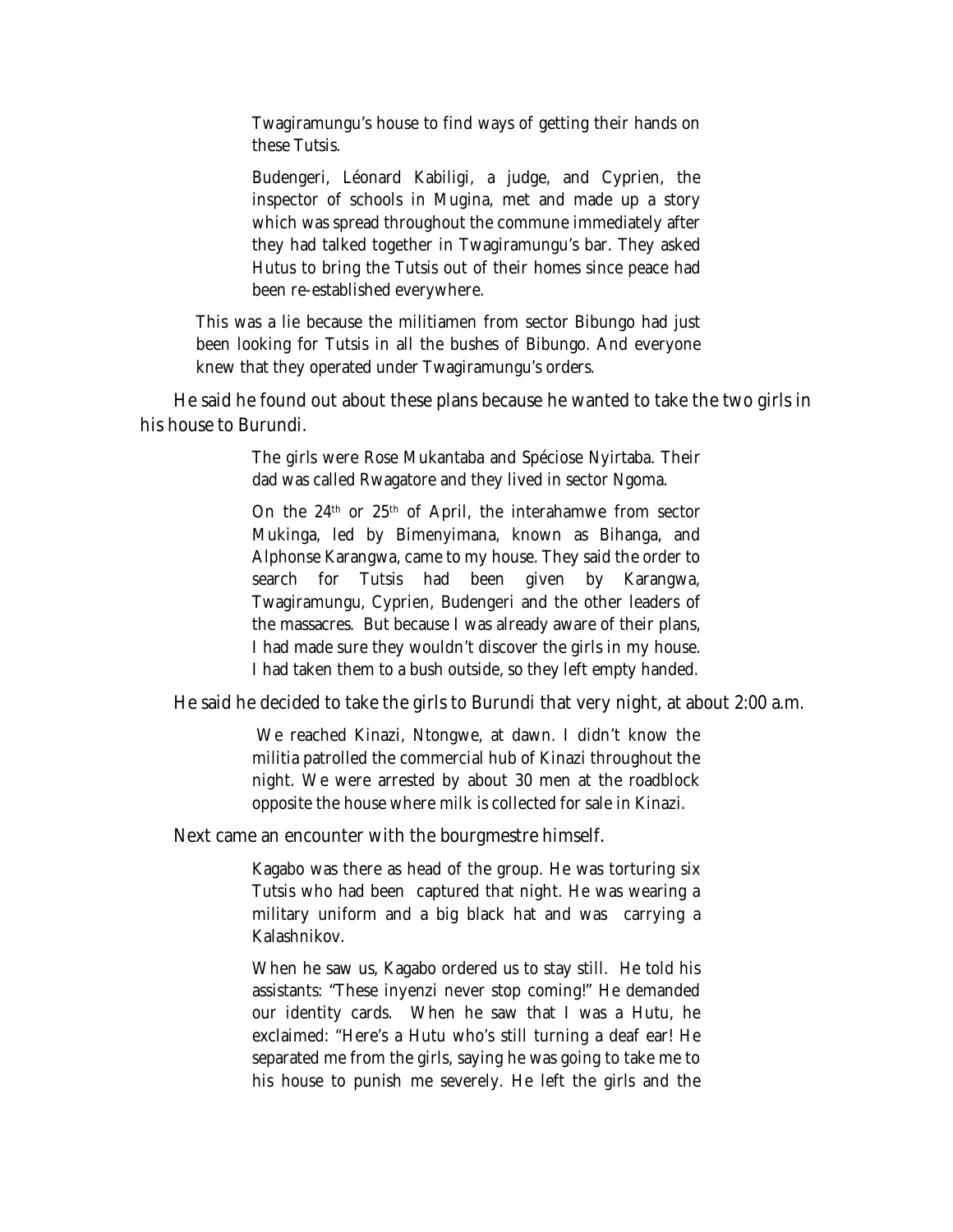Twagiramungu's house to find ways of getting their hands on these Tutsis.

Budengeri, Léonard Kabiligi, a judge, and Cyprien, the inspector of schools in Mugina, met and made up a story which was spread throughout the commune immediately after they had talked together in Twagiramungu's bar. They asked Hutus to bring the Tutsis out of their homes since peace had been re-established everywhere.

This was a lie because the militiamen from sector Bibungo had just been looking for Tutsis in all the bushes of Bibungo. And everyone knew that they operated under Twagiramungu's orders.

He said he found out about these plans because he wanted to take the two girls in his house to Burundi.

> The girls were Rose Mukantaba and Spéciose Nyirtaba. Their dad was called Rwagatore and they lived in sector Ngoma.

> On the 24th or 25th of April, the interahamwe from sector Mukinga, led by Bimenyimana, known as Bihanga, and Alphonse Karangwa, came to my house. They said the order to search for Tutsis had been given by Karangwa, Twagiramungu, Cyprien, Budengeri and the other leaders of the massacres. But because I was already aware of their plans, I had made sure they wouldn't discover the girls in my house. I had taken them to a bush outside, so they left empty handed.

He said he decided to take the girls to Burundi that very night, at about 2:00 a.m.

We reached Kinazi, Ntongwe, at dawn. I didn't know the militia patrolled the commercial hub of Kinazi throughout the night. We were arrested by about 30 men at the roadblock opposite the house where milk is collected for sale in Kinazi.

Next came an encounter with the bourgmestre himself.

Kagabo was there as head of the group. He was torturing six Tutsis who had been captured that night. He was wearing a military uniform and a big black hat and was carrying a Kalashnikov.

When he saw us, Kagabo ordered us to stay still. He told his assistants: "These *inyenz*i never stop coming!" He demanded our identity cards. When he saw that I was a Hutu, he exclaimed: "Here's a Hutu who's still turning a deaf ear! He separated me from the girls, saying he was going to take me to his house to punish me severely. He left the girls and the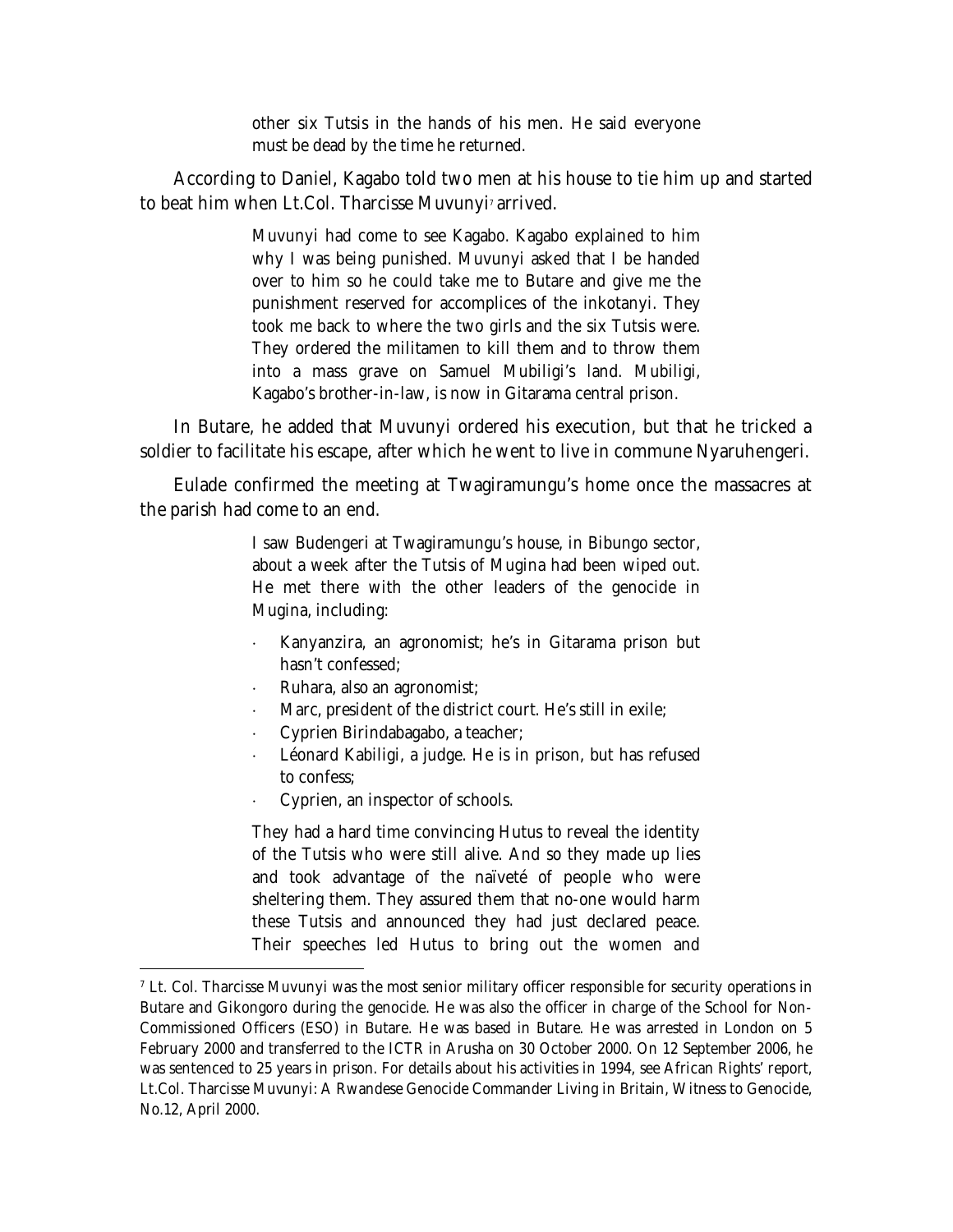other six Tutsis in the hands of his men. He said everyone must be dead by the time he returned.

According to Daniel, Kagabo told two men at his house to tie him up and started to beat him when Lt.Col. Tharcisse Muvunyi<sup>7</sup> arrived.

> Muvunyi had come to see Kagabo. Kagabo explained to him why I was being punished. Muvunyi asked that I be handed over to him so he could take me to Butare and give me the punishment reserved for accomplices of the *inkotanyi*. They took me back to where the two girls and the six Tutsis were. They ordered the militamen to kill them and to throw them into a mass grave on Samuel Mubiligi's land. Mubiligi, Kagabo's brother-in-law, is now in Gitarama central prison.

In Butare, he added that Muvunyi ordered his execution, but that he tricked a soldier to facilitate his escape, after which he went to live in commune Nyaruhengeri.

Eulade confirmed the meeting at Twagiramungu's home once the massacres at the parish had come to an end.

> I saw Budengeri at Twagiramungu's house, in Bibungo sector, about a week after the Tutsis of Mugina had been wiped out. He met there with the other leaders of the genocide in Mugina, including:

- Kanyanzira, an agronomist; he's in Gitarama prison but hasn't confessed;
- Ruhara, also an agronomist;
- Marc, president of the district court. He's still in exile;
- Cyprien Birindabagabo, a teacher;
- Léonard Kabiligi, a judge. He is in prison, but has refused to confess;
- Cyprien, an inspector of schools.

 $\overline{a}$ 

They had a hard time convincing Hutus to reveal the identity of the Tutsis who were still alive. And so they made up lies and took advantage of the naïveté of people who were sheltering them. They assured them that no-one would harm these Tutsis and announced they had just declared peace. Their speeches led Hutus to bring out the women and

 $<sup>7</sup>$  Lt. Col. Tharcisse Muvunyi was the most senior military officer responsible for security operations in</sup> Butare and Gikongoro during the genocide. He was also the officer in charge of the School for Non-Commissioned Officers (ESO) in Butare. He was based in Butare. He was arrested in London on 5 February 2000 and transferred to the ICTR in Arusha on 30 October 2000. On 12 September 2006, he was sentenced to 25 years in prison. For details about his activities in 1994, see African Rights' report, *Lt.Col. Tharcisse Muvunyi: A Rwandese Genocide Commander Living in Britain*, Witness to Genocide, No.12, April 2000.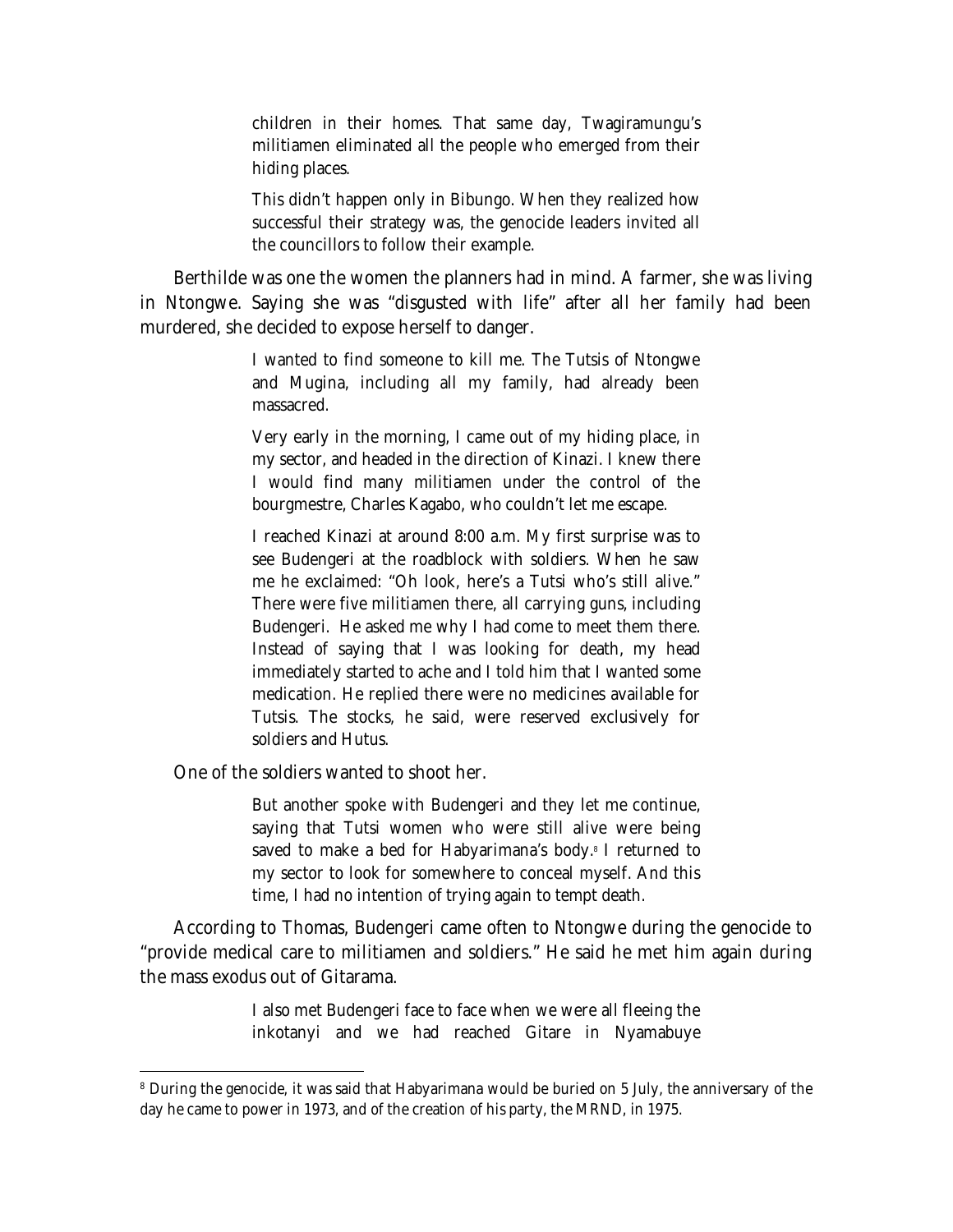children in their homes. That same day, Twagiramungu's militiamen eliminated all the people who emerged from their hiding places.

This didn't happen only in Bibungo. When they realized how successful their strategy was, the genocide leaders invited all the councillors to follow their example.

Berthilde was one the women the planners had in mind. A farmer, she was living in Ntongwe. Saying she was "disgusted with life" after all her family had been murdered, she decided to expose herself to danger.

> I wanted to find someone to kill me. The Tutsis of Ntongwe and Mugina, including all my family, had already been massacred.

> Very early in the morning, I came out of my hiding place, in my sector, and headed in the direction of Kinazi. I knew there I would find many militiamen under the control of the bourgmestre, Charles Kagabo, who couldn't let me escape.

> I reached Kinazi at around 8:00 a.m. My first surprise was to see Budengeri at the roadblock with soldiers. When he saw me he exclaimed: "Oh look, here's a Tutsi who's still alive." There were five militiamen there, all carrying guns, including Budengeri. He asked me why I had come to meet them there. Instead of saying that I was looking for death, my head immediately started to ache and I told him that I wanted some medication. He replied there were no medicines available for Tutsis. The stocks, he said, were reserved exclusively for soldiers and Hutus.

One of the soldiers wanted to shoot her.

 $\overline{a}$ 

But another spoke with Budengeri and they let me continue, saying that Tutsi women who were still alive were being saved to make a bed for Habyarimana's body.<sup>8</sup> I returned to my sector to look for somewhere to conceal myself. And this time, I had no intention of trying again to tempt death.

According to Thomas, Budengeri came often to Ntongwe during the genocide to "provide medical care to militiamen and soldiers." He said he met him again during the mass exodus out of Gitarama.

> I also met Budengeri face to face when we were all fleeing the *inkotanyi* and we had reached Gitare in Nyamabuye

<sup>&</sup>lt;sup>8</sup> During the genocide, it was said that Habyarimana would be buried on 5 July, the anniversary of the day he came to power in 1973, and of the creation of his party, the MRND, in 1975.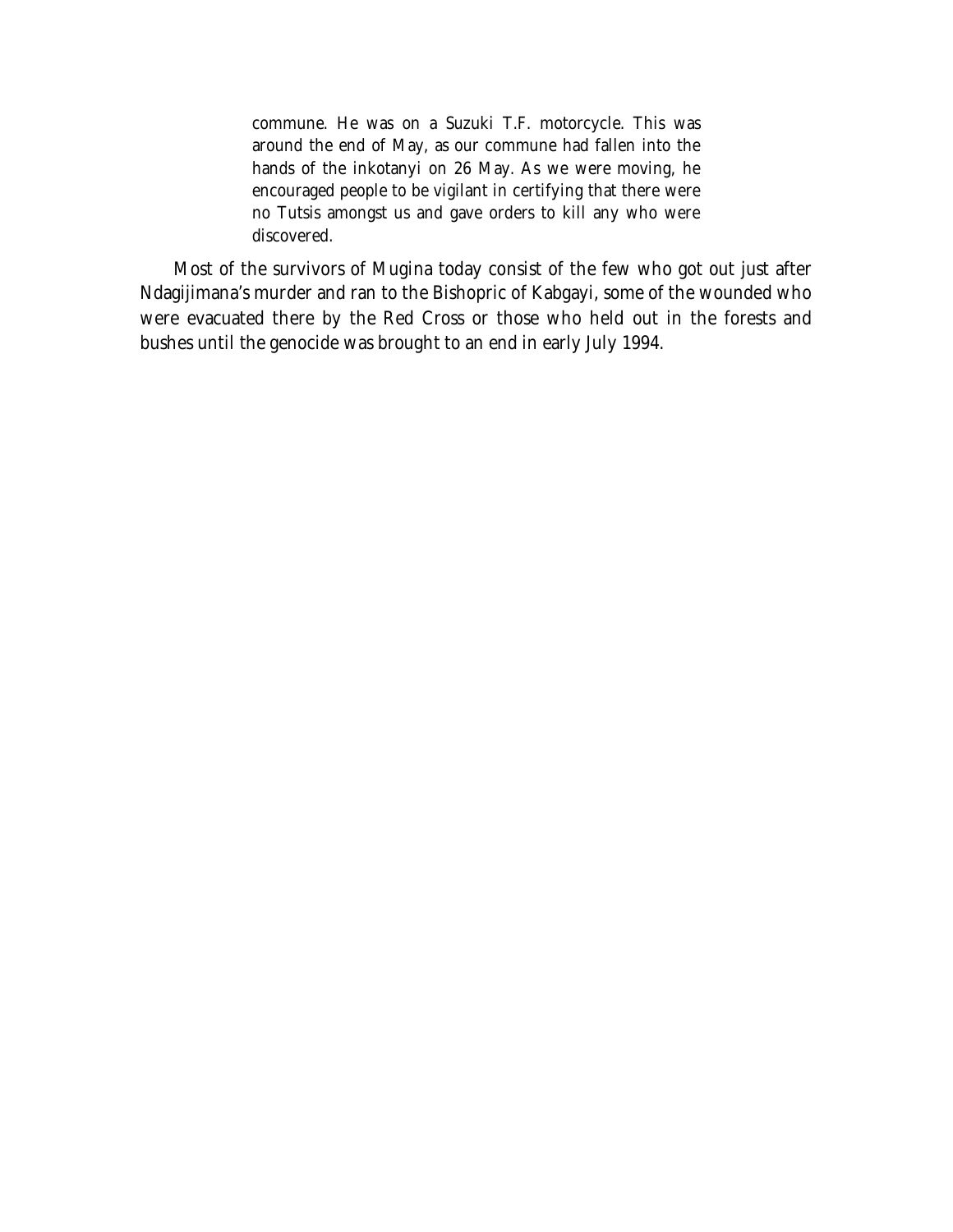commune. He was on a Suzuki T.F. motorcycle. This was around the end of May, as our commune had fallen into the hands of the *inkotanyi* on 26 May. As we were moving, he encouraged people to be vigilant in certifying that there were no Tutsis amongst us and gave orders to kill any who were discovered.

Most of the survivors of Mugina today consist of the few who got out just after Ndagijimana's murder and ran to the Bishopric of Kabgayi, some of the wounded who were evacuated there by the Red Cross or those who held out in the forests and bushes until the genocide was brought to an end in early July 1994.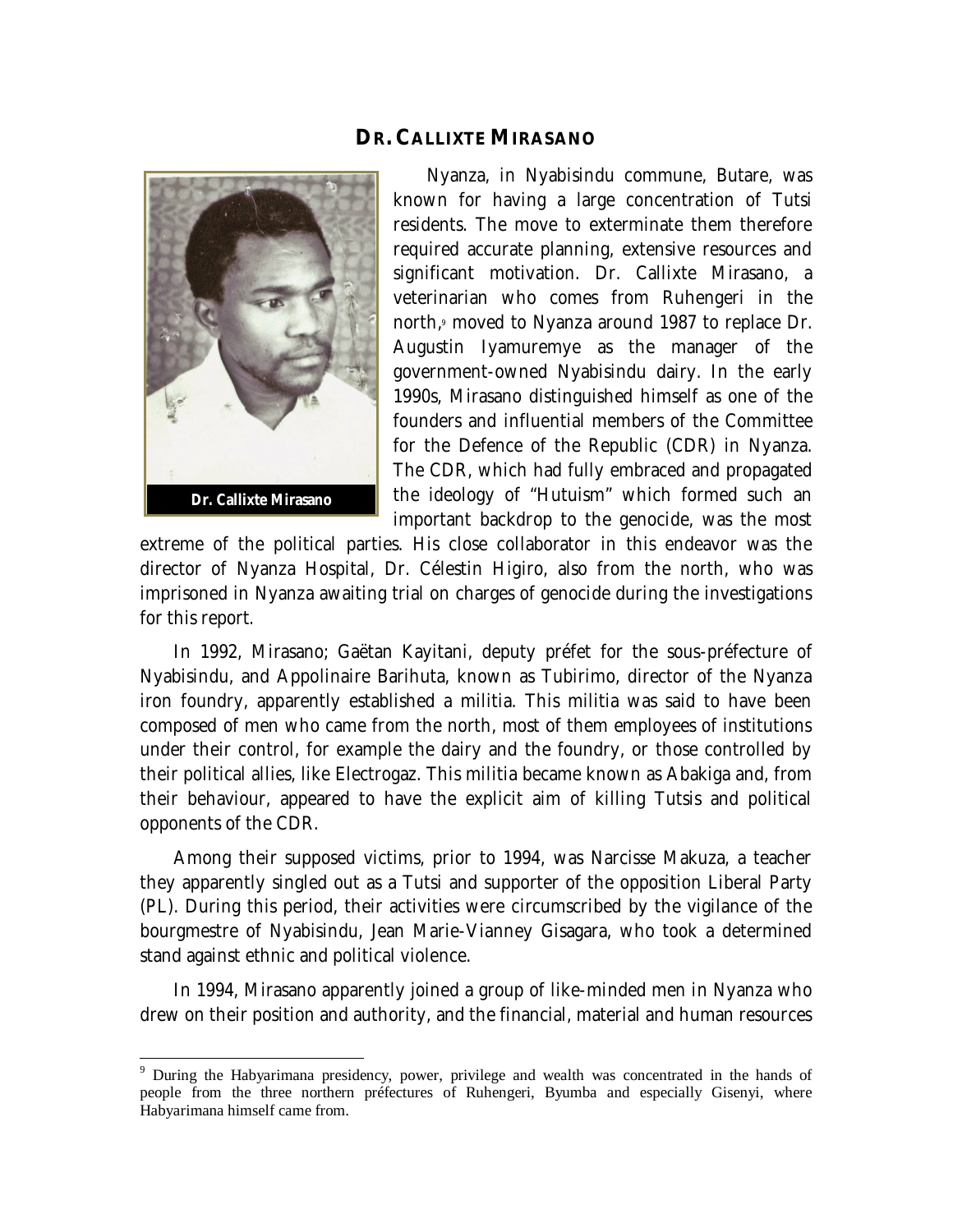#### **DR. CALLIXTE MIRASANO**



 $\overline{a}$ 

Nyanza, in Nyabisindu commune, Butare, was known for having a large concentration of Tutsi residents. The move to exterminate them therefore required accurate planning, extensive resources and significant motivation. Dr. Callixte Mirasano, a veterinarian who comes from Ruhengeri in the north,<sup>9</sup> moved to Nyanza around 1987 to replace Dr. Augustin Iyamuremye as the manager of the government-owned Nyabisindu dairy. In the early 1990s, Mirasano distinguished himself as one of the founders and influential members of the Committee for the Defence of the Republic (CDR) in Nyanza. The CDR, which had fully embraced and propagated the ideology of "Hutuism" which formed such an important backdrop to the genocide, was the most

extreme of the political parties. His close collaborator in this endeavor was the director of Nyanza Hospital, Dr. Célestin Higiro, also from the north, who was imprisoned in Nyanza awaiting trial on charges of genocide during the investigations for this report.

In 1992, Mirasano; Gaëtan Kayitani, deputy préfet for the sous-préfecture of Nyabisindu, and Appolinaire Barihuta, known as Tubirimo, director of the Nyanza iron foundry, apparently established a militia. This militia was said to have been composed of men who came from the north, most of them employees of institutions under their control, for example the dairy and the foundry, or those controlled by their political allies, like Electrogaz. This militia became known as *Abakiga* and, from their behaviour, appeared to have the explicit aim of killing Tutsis and political opponents of the CDR.

Among their supposed victims, prior to 1994, was Narcisse Makuza, a teacher they apparently singled out as a Tutsi and supporter of the opposition Liberal Party (PL). During this period, their activities were circumscribed by the vigilance of the bourgmestre of Nyabisindu, Jean Marie-Vianney Gisagara, who took a determined stand against ethnic and political violence.

In 1994, Mirasano apparently joined a group of like-minded men in Nyanza who drew on their position and authority, and the financial, material and human resources

<sup>&</sup>lt;sup>9</sup> During the Habyarimana presidency, power, privilege and wealth was concentrated in the hands of people from the three northern préfectures of Ruhengeri, Byumba and especially Gisenyi, where Habyarimana himself came from.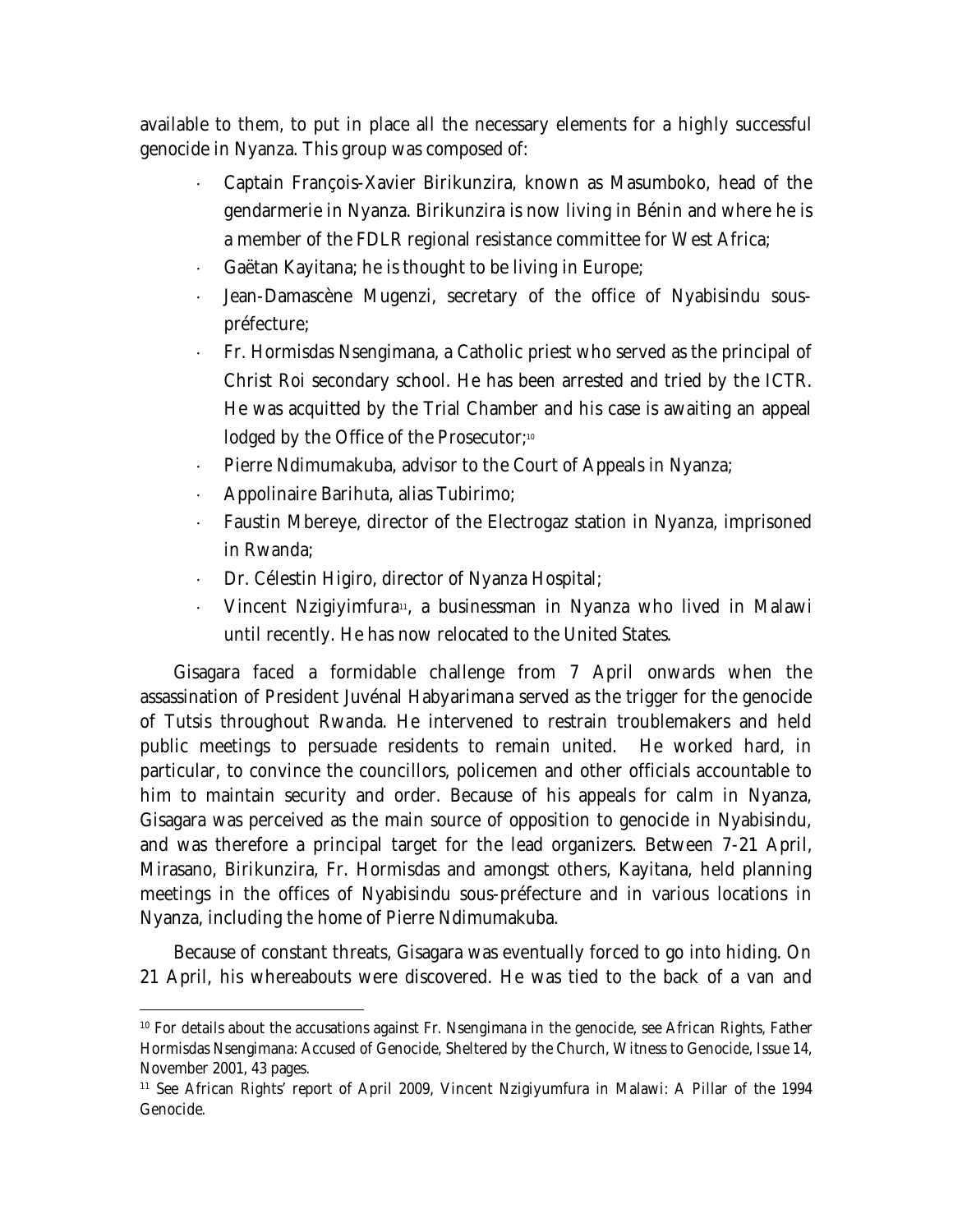available to them, to put in place all the necessary elements for a highly successful genocide in Nyanza. This group was composed of:

- Captain François-Xavier Birikunzira, known as Masumboko, head of the gendarmerie in Nyanza. Birikunzira is now living in Bénin and where he is a member of the FDLR regional resistance committee for West Africa;
- Gaëtan Kayitana; he is thought to be living in Europe;
- Jean-Damascène Mugenzi, secretary of the office of Nyabisindu souspréfecture;
- Fr. Hormisdas Nsengimana, a Catholic priest who served as the principal of Christ Roi secondary school. He has been arrested and tried by the ICTR. He was acquitted by the Trial Chamber and his case is awaiting an appeal lodged by the Office of the Prosecutor;<sup>10</sup>
- $\cdot$  Pierre Ndimumakuba, advisor to the Court of Appeals in Nyanza;
- Appolinaire Barihuta, alias Tubirimo;

 $\overline{a}$ 

- Faustin Mbereye, director of the Electrogaz station in Nyanza, imprisoned in Rwanda;
- Dr. Célestin Higiro, director of Nyanza Hospital;
- Vincent Nzigiyimfura<sup>11</sup>, a businessman in Nyanza who lived in Malawi until recently. He has now relocated to the United States.

Gisagara faced a formidable challenge from 7 April onwards when the assassination of President Juvénal Habyarimana served as the trigger for the genocide of Tutsis throughout Rwanda. He intervened to restrain troublemakers and held public meetings to persuade residents to remain united. He worked hard, in particular, to convince the councillors, policemen and other officials accountable to him to maintain security and order. Because of his appeals for calm in Nyanza, Gisagara was perceived as the main source of opposition to genocide in Nyabisindu, and was therefore a principal target for the lead organizers. Between 7-21 April, Mirasano, Birikunzira, Fr. Hormisdas and amongst others, Kayitana, held planning meetings in the offices of Nyabisindu sous-préfecture and in various locations in Nyanza, including the home of Pierre Ndimumakuba.

Because of constant threats, Gisagara was eventually forced to go into hiding. On 21 April, his whereabouts were discovered. He was tied to the back of a van and

<sup>10</sup> For details about the accusations against Fr. Nsengimana in the genocide, see African Rights, *Father Hormisdas Nsengimana: Accused of Genocide, Sheltered by the Church*, Witness to Genocide, Issue 14, November 2001, 43 pages.

<sup>11</sup> See African Rights' report of April 2009, Vincent Nzigiyumfura in Malawi: A Pillar of the 1994 Genocide.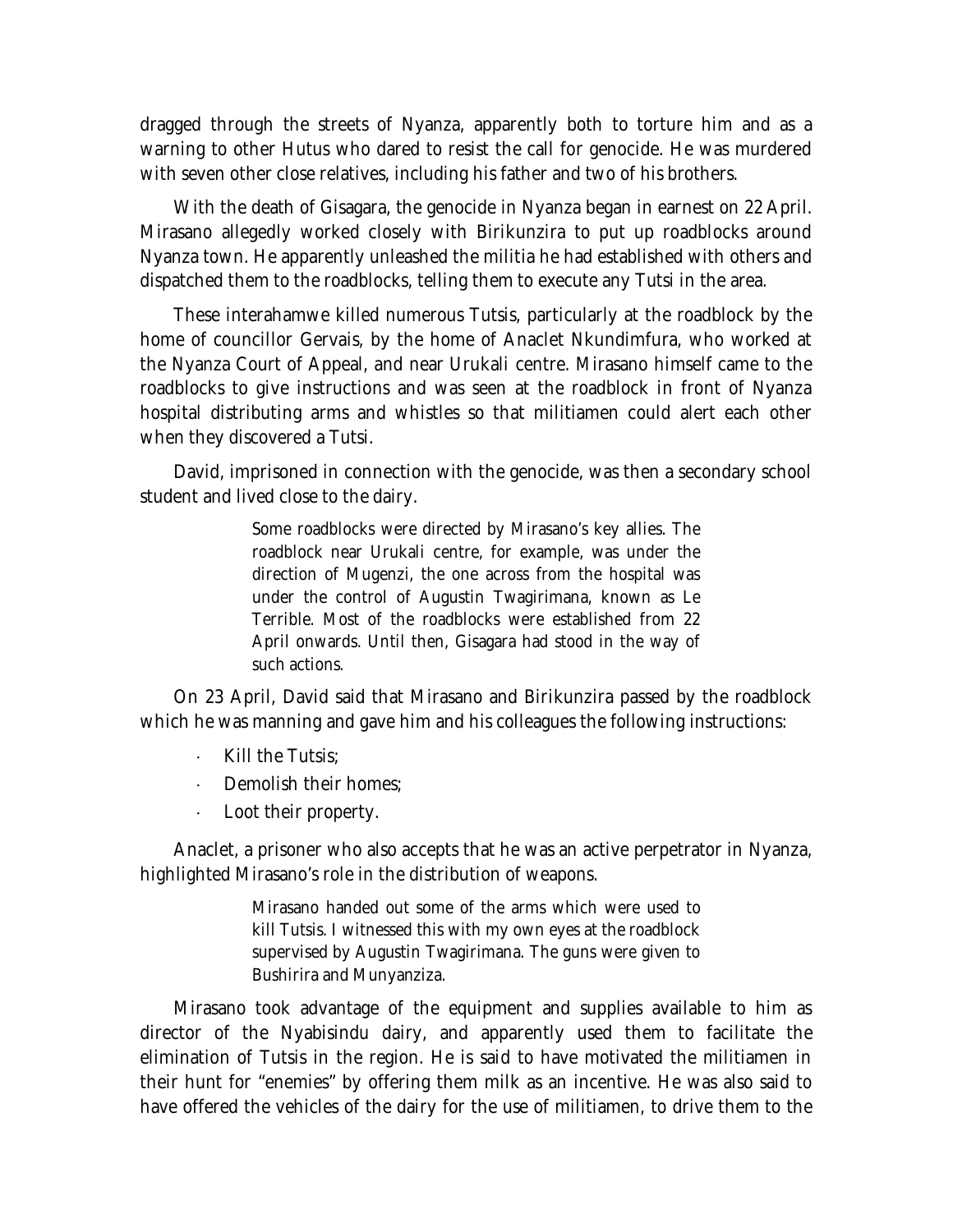dragged through the streets of Nyanza, apparently both to torture him and as a warning to other Hutus who dared to resist the call for genocide. He was murdered with seven other close relatives, including his father and two of his brothers.

With the death of Gisagara, the genocide in Nyanza began in earnest on 22 April. Mirasano allegedly worked closely with Birikunzira to put up roadblocks around Nyanza town. He apparently unleashed the militia he had established with others and dispatched them to the roadblocks, telling them to execute any Tutsi in the area.

These interahamwe killed numerous Tutsis, particularly at the roadblock by the home of councillor Gervais, by the home of Anaclet Nkundimfura, who worked at the Nyanza Court of Appeal, and near Urukali centre. Mirasano himself came to the roadblocks to give instructions and was seen at the roadblock in front of Nyanza hospital distributing arms and whistles so that militiamen could alert each other when they discovered a Tutsi.

David, imprisoned in connection with the genocide, was then a secondary school student and lived close to the dairy.

> Some roadblocks were directed by Mirasano's key allies. The roadblock near Urukali centre, for example, was under the direction of Mugenzi, the one across from the hospital was under the control of Augustin Twagirimana, known as Le Terrible. Most of the roadblocks were established from 22 April onwards. Until then, Gisagara had stood in the way of such actions.

On 23 April, David said that Mirasano and Birikunzira passed by the roadblock which he was manning and gave him and his colleagues the following instructions:

- Kill the Tutsis;
- Demolish their homes;
- Loot their property.

Anaclet, a prisoner who also accepts that he was an active perpetrator in Nyanza, highlighted Mirasano's role in the distribution of weapons.

> Mirasano handed out some of the arms which were used to kill Tutsis. I witnessed this with my own eyes at the roadblock supervised by Augustin Twagirimana. The guns were given to Bushirira and Munyanziza.

Mirasano took advantage of the equipment and supplies available to him as director of the Nyabisindu dairy, and apparently used them to facilitate the elimination of Tutsis in the region. He is said to have motivated the militiamen in their hunt for "enemies" by offering them milk as an incentive. He was also said to have offered the vehicles of the dairy for the use of militiamen, to drive them to the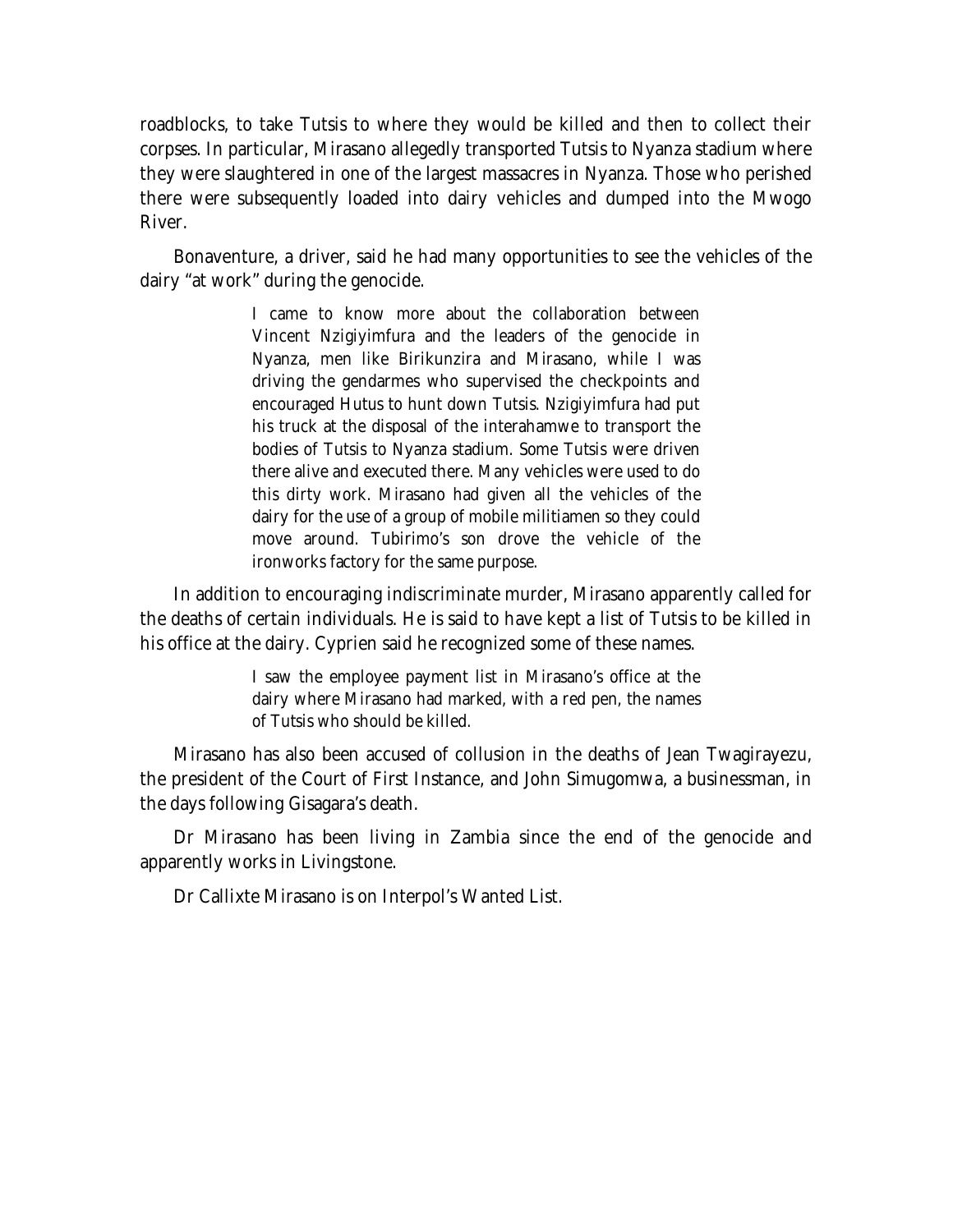roadblocks, to take Tutsis to where they would be killed and then to collect their corpses. In particular, Mirasano allegedly transported Tutsis to Nyanza stadium where they were slaughtered in one of the largest massacres in Nyanza. Those who perished there were subsequently loaded into dairy vehicles and dumped into the Mwogo River.

Bonaventure, a driver, said he had many opportunities to see the vehicles of the dairy "at work" during the genocide.

> I came to know more about the collaboration between Vincent Nzigiyimfura and the leaders of the genocide in Nyanza, men like Birikunzira and Mirasano, while I was driving the gendarmes who supervised the checkpoints and encouraged Hutus to hunt down Tutsis. Nzigiyimfura had put his truck at the disposal of the interahamwe to transport the bodies of Tutsis to Nyanza stadium. Some Tutsis were driven there alive and executed there. Many vehicles were used to do this dirty work. Mirasano had given all the vehicles of the dairy for the use of a group of mobile militiamen so they could move around. Tubirimo's son drove the vehicle of the ironworks factory for the same purpose.

In addition to encouraging indiscriminate murder, Mirasano apparently called for the deaths of certain individuals. He is said to have kept a list of Tutsis to be killed in his office at the dairy. Cyprien said he recognized some of these names.

> I saw the employee payment list in Mirasano's office at the dairy where Mirasano had marked, with a red pen, the names of Tutsis who should be killed.

Mirasano has also been accused of collusion in the deaths of Jean Twagirayezu, the president of the Court of First Instance, and John Simugomwa, a businessman, in the days following Gisagara's death.

Dr Mirasano has been living in Zambia since the end of the genocide and apparently works in Livingstone.

Dr Callixte Mirasano is on Interpol's Wanted List.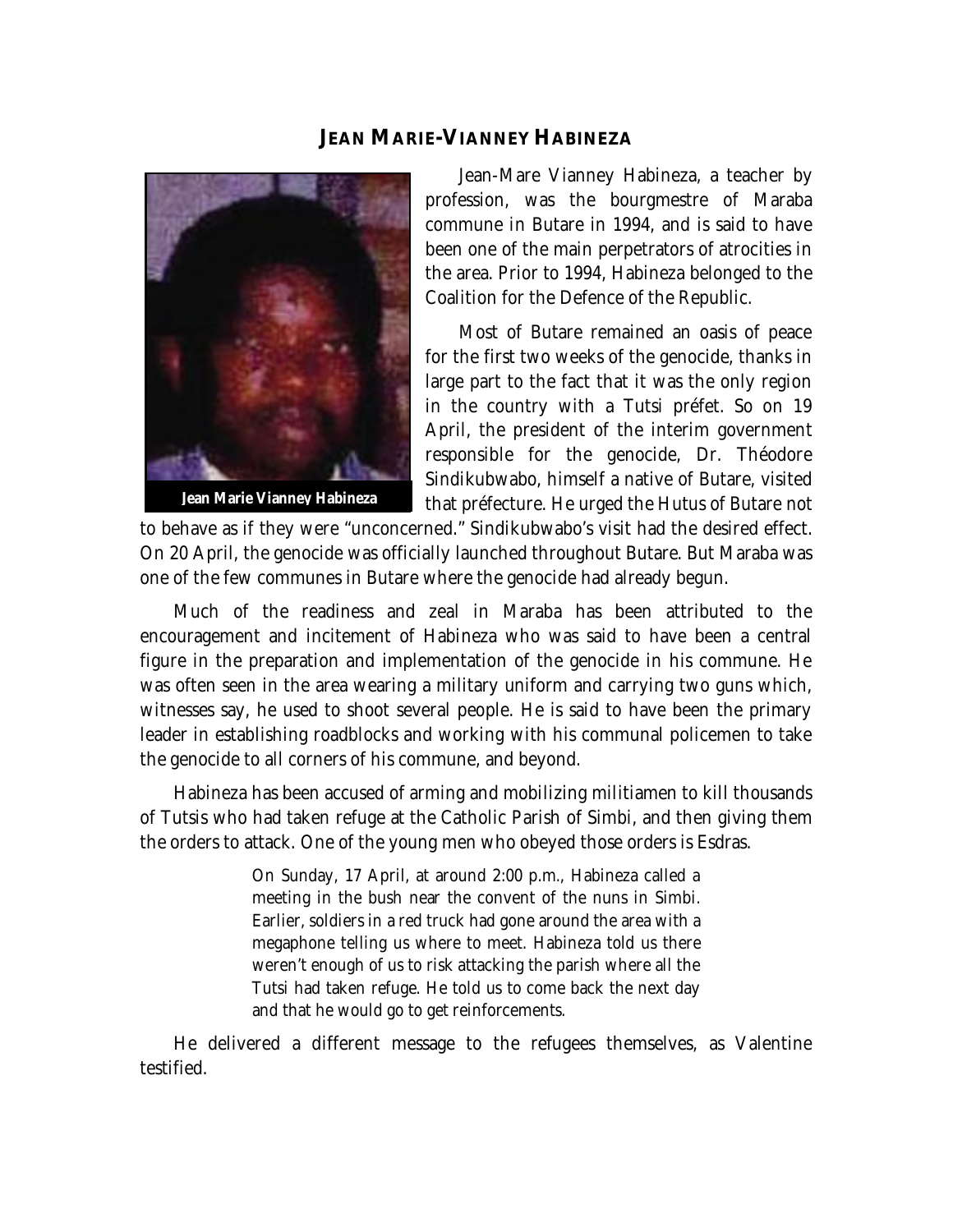#### **JEAN MARIE-VIANNEY HABINEZA**



**Jean Marie Vianney Habineza**

Jean-Mare Vianney Habineza, a teacher by profession, was the bourgmestre of Maraba commune in Butare in 1994, and is said to have been one of the main perpetrators of atrocities in the area. Prior to 1994, Habineza belonged to the Coalition for the Defence of the Republic.

Most of Butare remained an oasis of peace for the first two weeks of the genocide, thanks in large part to the fact that it was the only region in the country with a Tutsi préfet. So on 19 April, the president of the interim government responsible for the genocide, Dr. Théodore Sindikubwabo, himself a native of Butare, visited that préfecture. He urged the Hutus of Butare not

to behave as if they were "unconcerned." Sindikubwabo's visit had the desired effect. On 20 April, the genocide was officially launched throughout Butare. But Maraba was one of the few communes in Butare where the genocide had already begun.

Much of the readiness and zeal in Maraba has been attributed to the encouragement and incitement of Habineza who was said to have been a central figure in the preparation and implementation of the genocide in his commune. He was often seen in the area wearing a military uniform and carrying two guns which, witnesses say, he used to shoot several people. He is said to have been the primary leader in establishing roadblocks and working with his communal policemen to take the genocide to all corners of his commune, and beyond.

Habineza has been accused of arming and mobilizing militiamen to kill thousands of Tutsis who had taken refuge at the Catholic Parish of Simbi, and then giving them the orders to attack. One of the young men who obeyed those orders is Esdras.

> On Sunday, 17 April, at around 2:00 p.m., Habineza called a meeting in the bush near the convent of the nuns in Simbi. Earlier, soldiers in a red truck had gone around the area with a megaphone telling us where to meet. Habineza told us there weren't enough of us to risk attacking the parish where all the Tutsi had taken refuge. He told us to come back the next day and that he would go to get reinforcements.

He delivered a different message to the refugees themselves, as Valentine testified.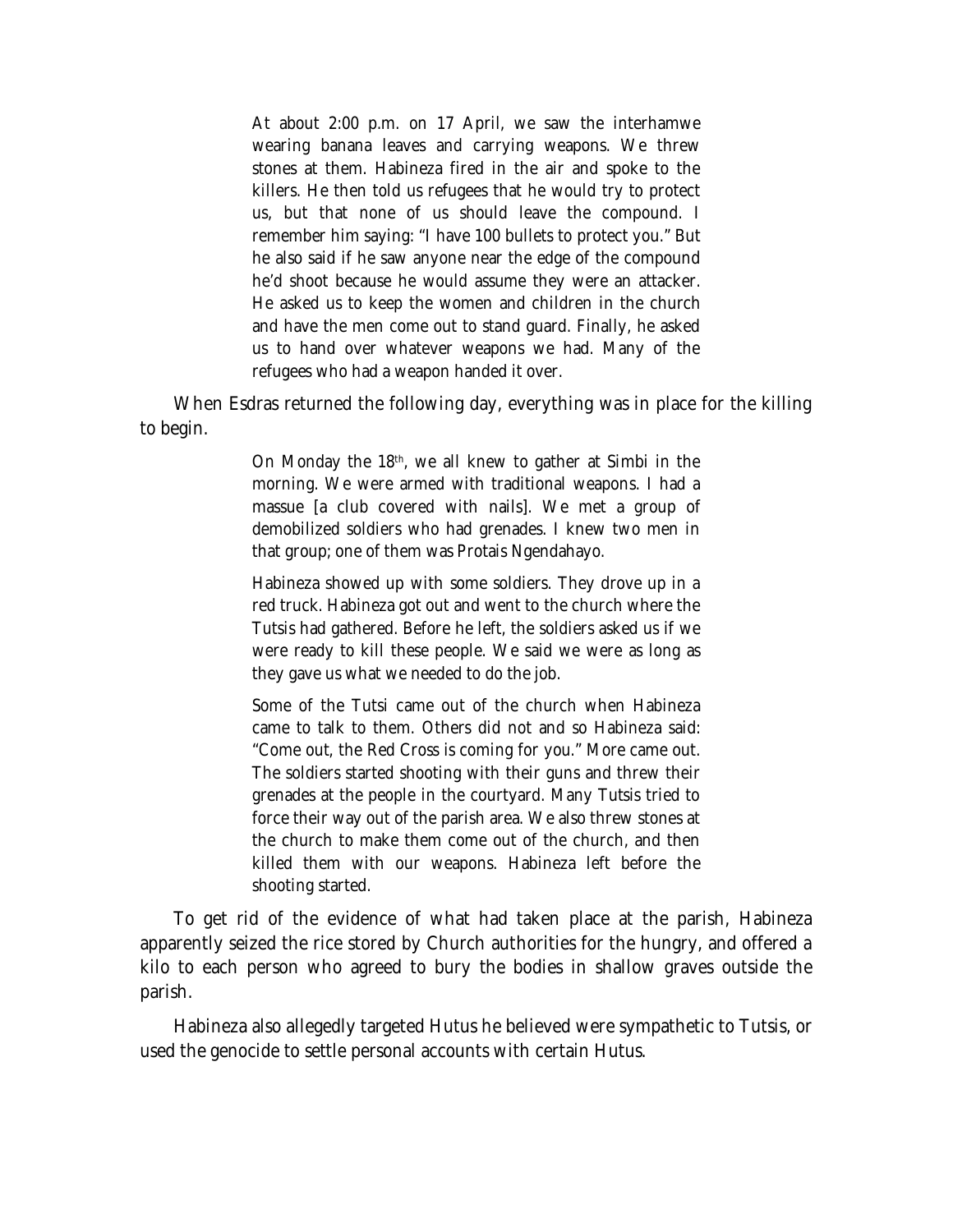At about 2:00 p.m. on 17 April, we saw the interhamwe wearing banana leaves and carrying weapons. We threw stones at them. Habineza fired in the air and spoke to the killers. He then told us refugees that he would try to protect us, but that none of us should leave the compound. I remember him saying: "I have 100 bullets to protect you." But he also said if he saw anyone near the edge of the compound he'd shoot because he would assume they were an attacker. He asked us to keep the women and children in the church and have the men come out to stand guard. Finally, he asked us to hand over whatever weapons we had. Many of the refugees who had a weapon handed it over.

When Esdras returned the following day, everything was in place for the killing to begin.

> On Monday the 18th, we all knew to gather at Simbi in the morning. We were armed with traditional weapons. I had a *massue* [a club covered with nails]. We met a group of demobilized soldiers who had grenades. I knew two men in that group; one of them was Protais Ngendahayo.

> Habineza showed up with some soldiers. They drove up in a red truck. Habineza got out and went to the church where the Tutsis had gathered. Before he left, the soldiers asked us if we were ready to kill these people. We said we were as long as they gave us what we needed to do the job.

> Some of the Tutsi came out of the church when Habineza came to talk to them. Others did not and so Habineza said: "Come out, the Red Cross is coming for you." More came out. The soldiers started shooting with their guns and threw their grenades at the people in the courtyard. Many Tutsis tried to force their way out of the parish area. We also threw stones at the church to make them come out of the church, and then killed them with our weapons. Habineza left before the shooting started.

To get rid of the evidence of what had taken place at the parish, Habineza apparently seized the rice stored by Church authorities for the hungry, and offered a kilo to each person who agreed to bury the bodies in shallow graves outside the parish.

Habineza also allegedly targeted Hutus he believed were sympathetic to Tutsis, or used the genocide to settle personal accounts with certain Hutus.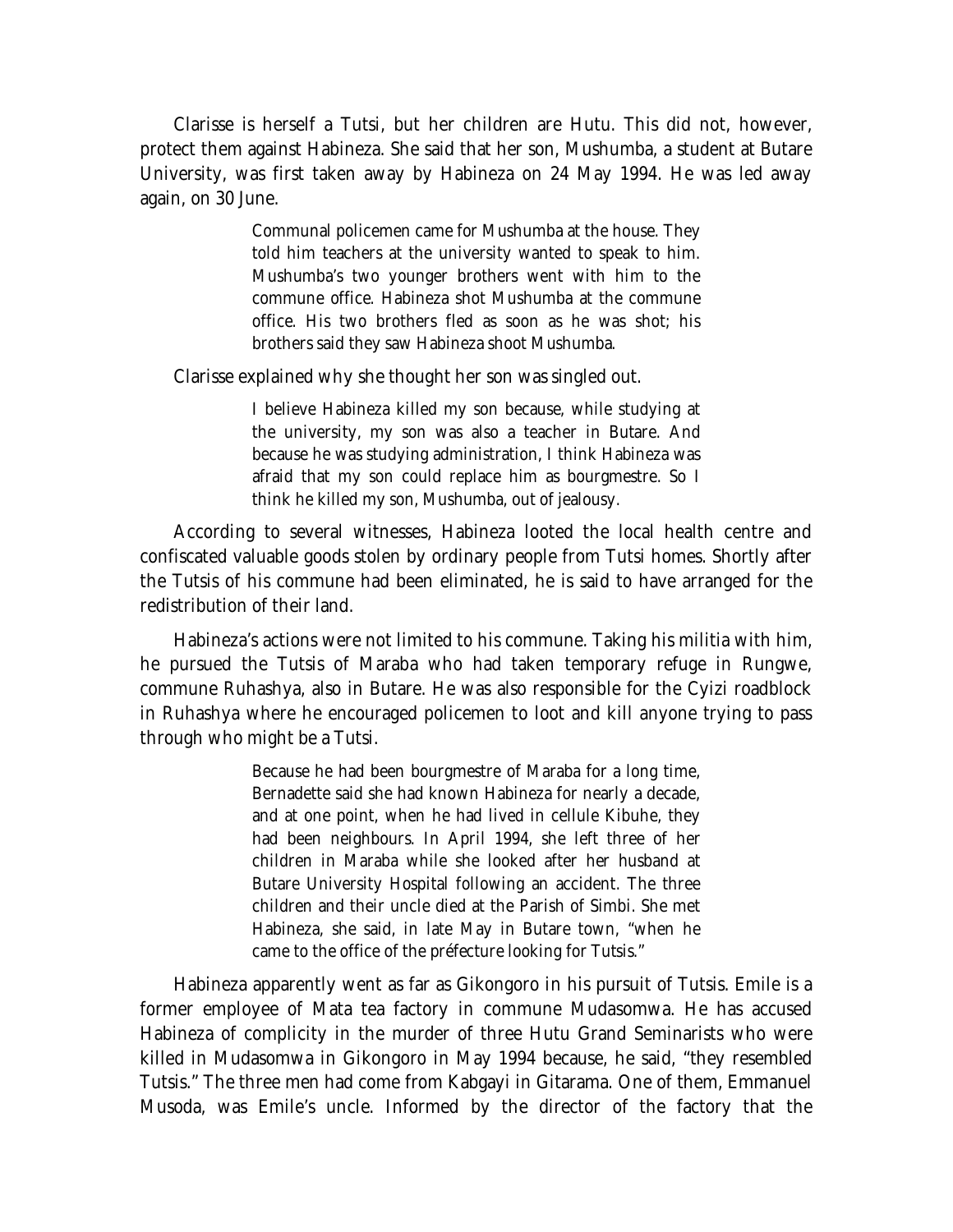Clarisse is herself a Tutsi, but her children are Hutu. This did not, however, protect them against Habineza. She said that her son, Mushumba, a student at Butare University, was first taken away by Habineza on 24 May 1994. He was led away again, on 30 June.

> Communal policemen came for Mushumba at the house. They told him teachers at the university wanted to speak to him. Mushumba's two younger brothers went with him to the commune office. Habineza shot Mushumba at the commune office. His two brothers fled as soon as he was shot; his brothers said they saw Habineza shoot Mushumba.

Clarisse explained why she thought her son was singled out.

I believe Habineza killed my son because, while studying at the university, my son was also a teacher in Butare. And because he was studying administration, I think Habineza was afraid that my son could replace him as bourgmestre. So I think he killed my son, Mushumba, out of jealousy.

According to several witnesses, Habineza looted the local health centre and confiscated valuable goods stolen by ordinary people from Tutsi homes. Shortly after the Tutsis of his commune had been eliminated, he is said to have arranged for the redistribution of their land.

Habineza's actions were not limited to his commune. Taking his militia with him, he pursued the Tutsis of Maraba who had taken temporary refuge in Rungwe, commune Ruhashya, also in Butare. He was also responsible for the Cyizi roadblock in Ruhashya where he encouraged policemen to loot and kill anyone trying to pass through who might be a Tutsi.

> Because he had been bourgmestre of Maraba for a long time, Bernadette said she had known Habineza for nearly a decade, and at one point, when he had lived in cellule Kibuhe, they had been neighbours. In April 1994, she left three of her children in Maraba while she looked after her husband at Butare University Hospital following an accident. The three children and their uncle died at the Parish of Simbi. She met Habineza, she said, in late May in Butare town, "when he came to the office of the préfecture looking for Tutsis."

Habineza apparently went as far as Gikongoro in his pursuit of Tutsis. Emile is a former employee of Mata tea factory in commune Mudasomwa. He has accused Habineza of complicity in the murder of three Hutu Grand Seminarists who were killed in Mudasomwa in Gikongoro in May 1994 because, he said, "they resembled Tutsis." The three men had come from Kabgayi in Gitarama. One of them, Emmanuel Musoda, was Emile's uncle. Informed by the director of the factory that the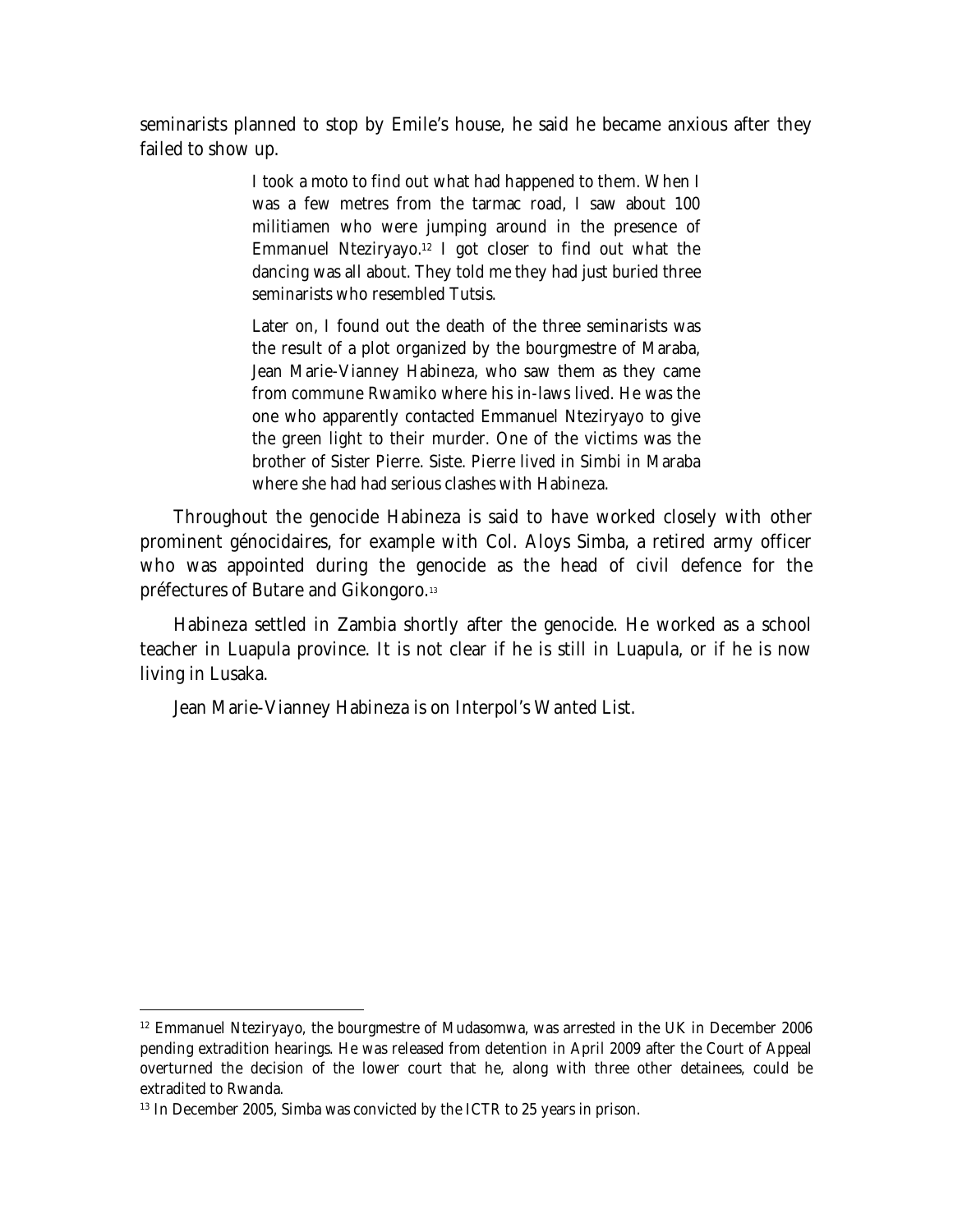seminarists planned to stop by Emile's house, he said he became anxious after they failed to show up.

> I took a moto to find out what had happened to them. When I was a few metres from the tarmac road, I saw about 100 militiamen who were jumping around in the presence of Emmanuel Nteziryayo.<sup>12</sup> I got closer to find out what the dancing was all about. They told me they had just buried three seminarists who resembled Tutsis.

> Later on, I found out the death of the three seminarists was the result of a plot organized by the bourgmestre of Maraba, Jean Marie-Vianney Habineza, who saw them as they came from commune Rwamiko where his in-laws lived. He was the one who apparently contacted Emmanuel Nteziryayo to give the green light to their murder. One of the victims was the brother of Sister Pierre. Siste. Pierre lived in Simbi in Maraba where she had had serious clashes with Habineza.

Throughout the genocide Habineza is said to have worked closely with other prominent génocidaires, for example with Col. Aloys Simba, a retired army officer who was appointed during the genocide as the head of civil defence for the préfectures of Butare and Gikongoro.<sup>13</sup>

Habineza settled in Zambia shortly after the genocide. He worked as a school teacher in Luapula province. It is not clear if he is still in Luapula, or if he is now living in Lusaka.

Jean Marie-Vianney Habineza is on Interpol's Wanted List.

 $\overline{a}$ 

 $12$  Emmanuel Nteziryayo, the bourgmestre of Mudasomwa, was arrested in the UK in December 2006 pending extradition hearings. He was released from detention in April 2009 after the Court of Appeal overturned the decision of the lower court that he, along with three other detainees, could be extradited to Rwanda.

<sup>&</sup>lt;sup>13</sup> In December 2005, Simba was convicted by the ICTR to 25 years in prison.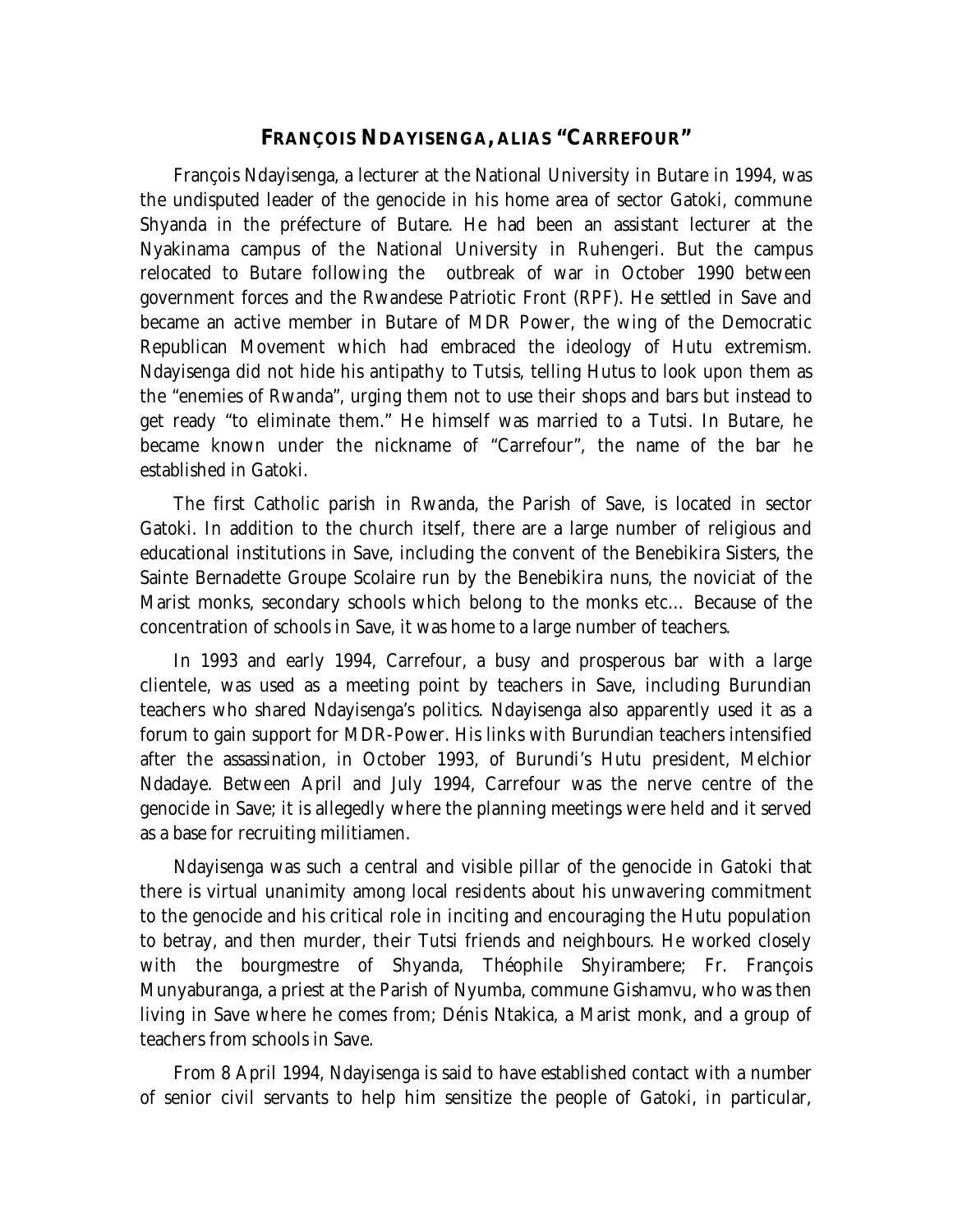#### **FRANÇOIS NDAYISENGA, ALIAS "CARREFOUR"**

François Ndayisenga, a lecturer at the National University in Butare in 1994, was the undisputed leader of the genocide in his home area of sector Gatoki, commune Shyanda in the préfecture of Butare. He had been an assistant lecturer at the Nyakinama campus of the National University in Ruhengeri. But the campus relocated to Butare following the outbreak of war in October 1990 between government forces and the Rwandese Patriotic Front (RPF). He settled in Save and became an active member in Butare of MDR Power, the wing of the Democratic Republican Movement which had embraced the ideology of Hutu extremism. Ndayisenga did not hide his antipathy to Tutsis, telling Hutus to look upon them as the "enemies of Rwanda", urging them not to use their shops and bars but instead to get ready "to eliminate them." He himself was married to a Tutsi. In Butare, he became known under the nickname of "Carrefour", the name of the bar he established in Gatoki.

The first Catholic parish in Rwanda, the Parish of Save, is located in sector Gatoki. In addition to the church itself, there are a large number of religious and educational institutions in Save, including the convent of the Benebikira Sisters, the Sainte Bernadette Groupe Scolaire run by the Benebikira nuns, the noviciat of the Marist monks, secondary schools which belong to the monks etc… Because of the concentration of schools in Save, it was home to a large number of teachers.

In 1993 and early 1994, Carrefour, a busy and prosperous bar with a large clientele, was used as a meeting point by teachers in Save, including Burundian teachers who shared Ndayisenga's politics. Ndayisenga also apparently used it as a forum to gain support for MDR-Power. His links with Burundian teachers intensified after the assassination, in October 1993, of Burundi's Hutu president, Melchior Ndadaye. Between April and July 1994, Carrefour was the nerve centre of the genocide in Save; it is allegedly where the planning meetings were held and it served as a base for recruiting militiamen.

Ndayisenga was such a central and visible pillar of the genocide in Gatoki that there is virtual unanimity among local residents about his unwavering commitment to the genocide and his critical role in inciting and encouraging the Hutu population to betray, and then murder, their Tutsi friends and neighbours. He worked closely with the bourgmestre of Shyanda, Théophile Shyirambere; Fr. François Munyaburanga, a priest at the Parish of Nyumba, commune Gishamvu, who was then living in Save where he comes from; Dénis Ntakica, a Marist monk, and a group of teachers from schools in Save.

From 8 April 1994, Ndayisenga is said to have established contact with a number of senior civil servants to help him sensitize the people of Gatoki, in particular,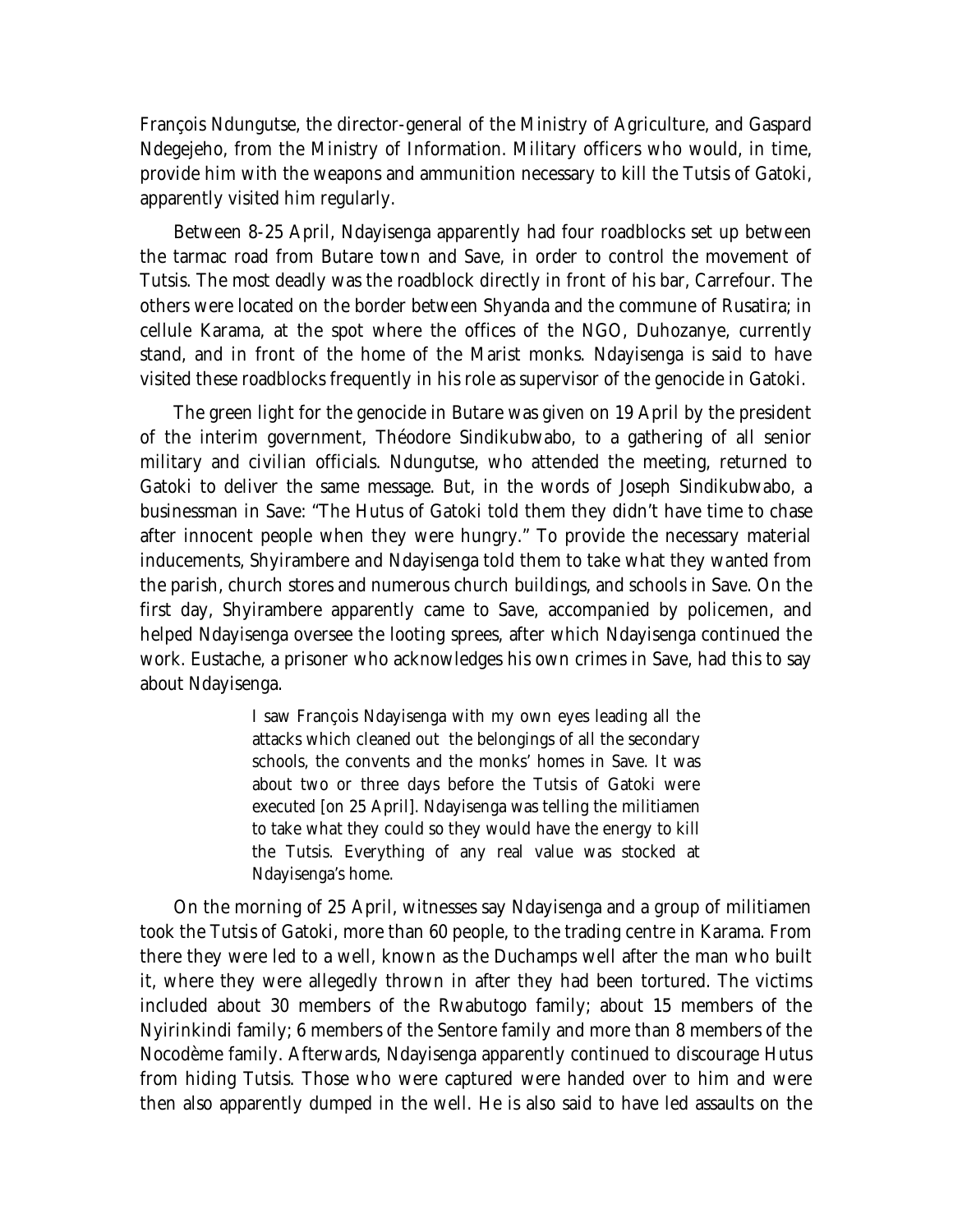François Ndungutse, the director-general of the Ministry of Agriculture, and Gaspard Ndegejeho, from the Ministry of Information. Military officers who would, in time, provide him with the weapons and ammunition necessary to kill the Tutsis of Gatoki, apparently visited him regularly.

Between 8-25 April, Ndayisenga apparently had four roadblocks set up between the tarmac road from Butare town and Save, in order to control the movement of Tutsis. The most deadly was the roadblock directly in front of his bar, Carrefour. The others were located on the border between Shyanda and the commune of Rusatira; in cellule Karama, at the spot where the offices of the NGO, Duhozanye, currently stand, and in front of the home of the Marist monks. Ndayisenga is said to have visited these roadblocks frequently in his role as supervisor of the genocide in Gatoki.

The green light for the genocide in Butare was given on 19 April by the president of the interim government, Théodore Sindikubwabo, to a gathering of all senior military and civilian officials. Ndungutse, who attended the meeting, returned to Gatoki to deliver the same message. But, in the words of Joseph Sindikubwabo, a businessman in Save: "The Hutus of Gatoki told them they didn't have time to chase after innocent people when they were hungry." To provide the necessary material inducements, Shyirambere and Ndayisenga told them to take what they wanted from the parish, church stores and numerous church buildings, and schools in Save. On the first day, Shyirambere apparently came to Save, accompanied by policemen, and helped Ndayisenga oversee the looting sprees, after which Ndayisenga continued the work. Eustache, a prisoner who acknowledges his own crimes in Save, had this to say about Ndayisenga.

> I saw François Ndayisenga with my own eyes leading all the attacks which cleaned out the belongings of all the secondary schools, the convents and the monks' homes in Save. It was about two or three days before the Tutsis of Gatoki were executed [on 25 April]. Ndayisenga was telling the militiamen to take what they could so they would have the energy to kill the Tutsis. Everything of any real value was stocked at Ndayisenga's home.

On the morning of 25 April, witnesses say Ndayisenga and a group of militiamen took the Tutsis of Gatoki, more than 60 people, to the trading centre in Karama. From there they were led to a well, known as the Duchamps well after the man who built it, where they were allegedly thrown in after they had been tortured. The victims included about 30 members of the Rwabutogo family; about 15 members of the Nyirinkindi family; 6 members of the Sentore family and more than 8 members of the Nocodème family. Afterwards, Ndayisenga apparently continued to discourage Hutus from hiding Tutsis. Those who were captured were handed over to him and were then also apparently dumped in the well. He is also said to have led assaults on the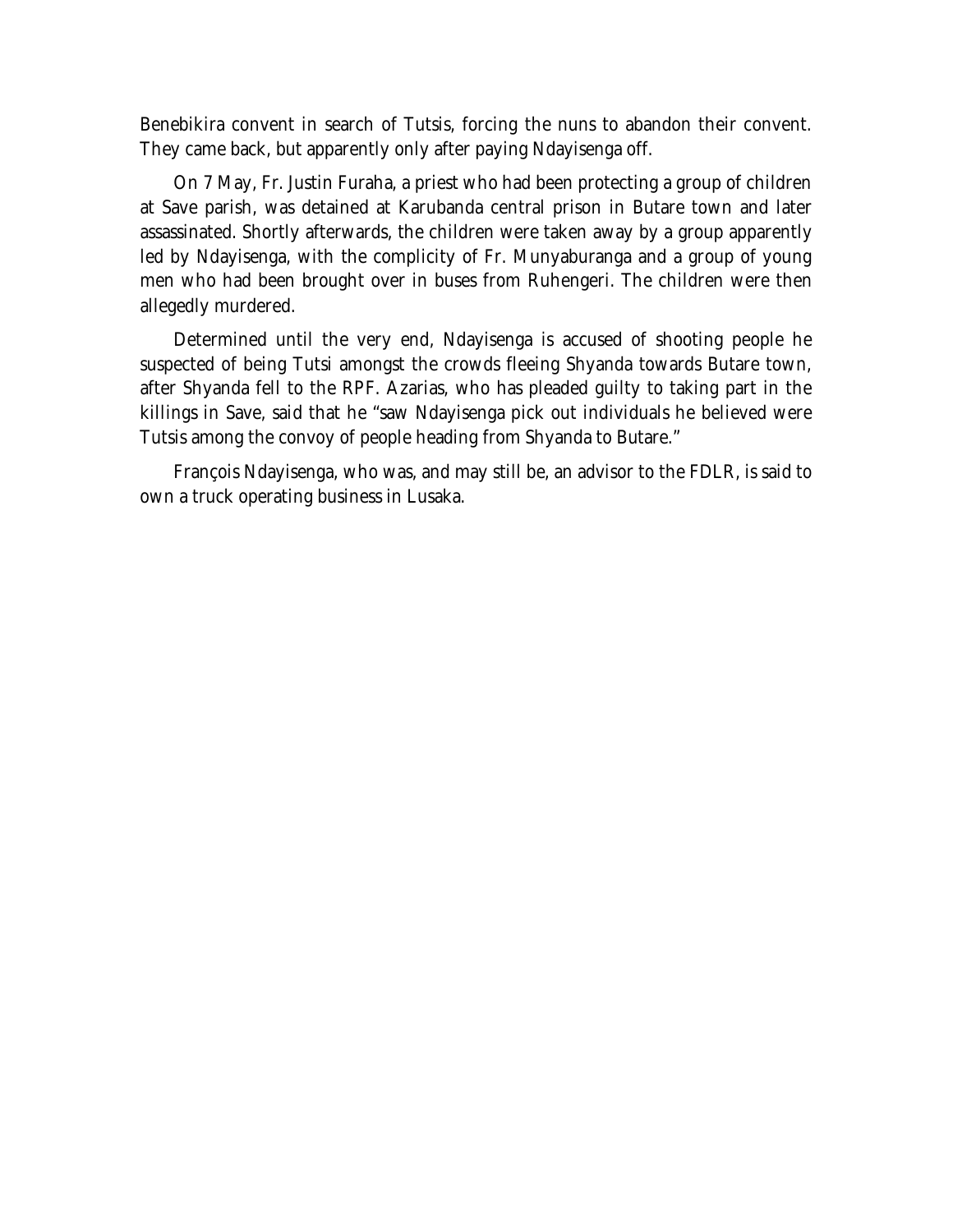Benebikira convent in search of Tutsis, forcing the nuns to abandon their convent. They came back, but apparently only after paying Ndayisenga off.

On 7 May, Fr. Justin Furaha, a priest who had been protecting a group of children at Save parish, was detained at Karubanda central prison in Butare town and later assassinated. Shortly afterwards, the children were taken away by a group apparently led by Ndayisenga, with the complicity of Fr. Munyaburanga and a group of young men who had been brought over in buses from Ruhengeri. The children were then allegedly murdered.

Determined until the very end, Ndayisenga is accused of shooting people he suspected of being Tutsi amongst the crowds fleeing Shyanda towards Butare town, after Shyanda fell to the RPF. Azarias, who has pleaded guilty to taking part in the killings in Save, said that he "saw Ndayisenga pick out individuals he believed were Tutsis among the convoy of people heading from Shyanda to Butare."

François Ndayisenga, who was, and may still be, an advisor to the FDLR, is said to own a truck operating business in Lusaka.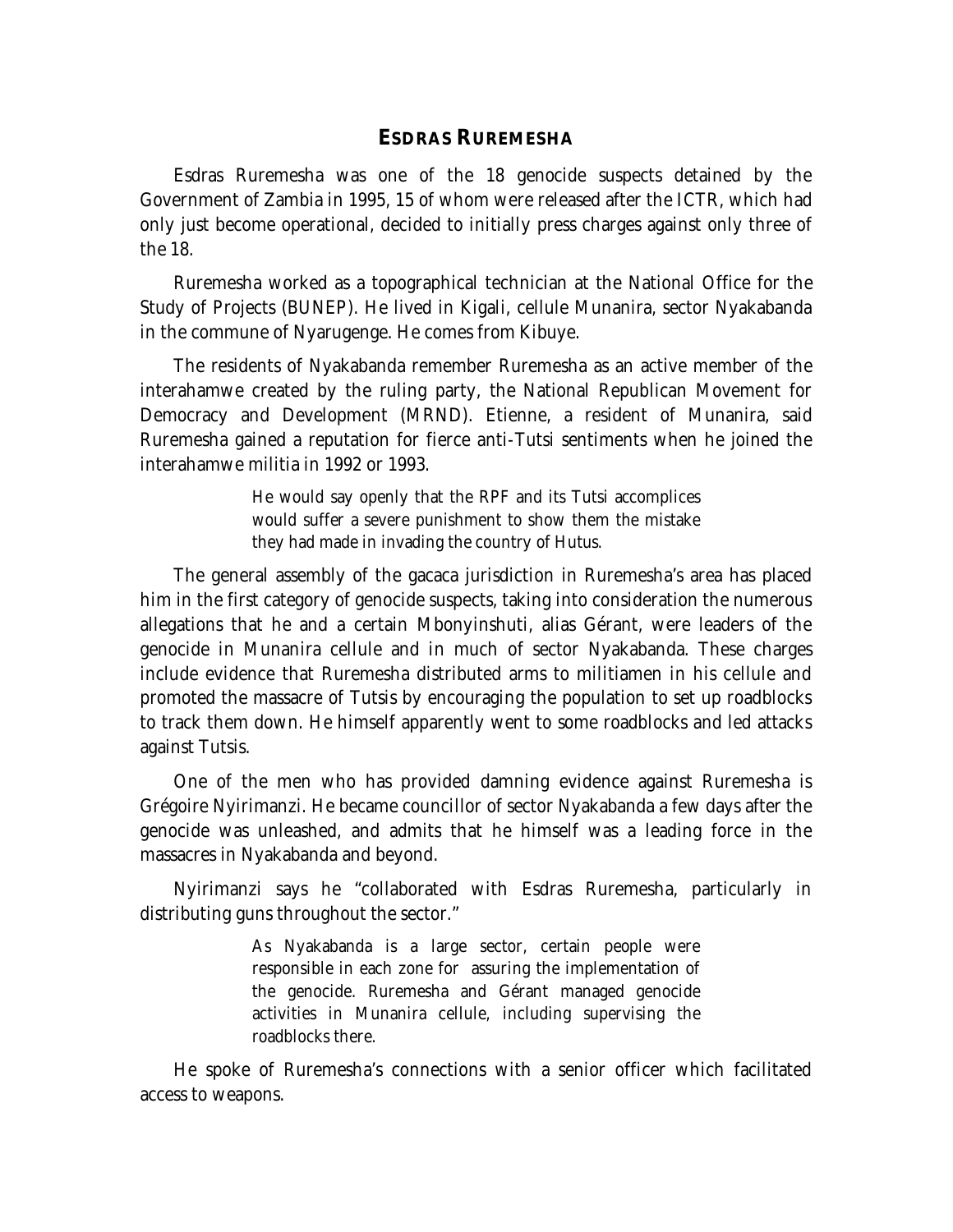#### **ESDRAS RUREMESHA**

Esdras Ruremesha was one of the 18 genocide suspects detained by the Government of Zambia in 1995, 15 of whom were released after the ICTR, which had only just become operational, decided to initially press charges against only three of the 18.

Ruremesha worked as a topographical technician at the National Office for the Study of Projects (BUNEP). He lived in Kigali, cellule Munanira, sector Nyakabanda in the commune of Nyarugenge. He comes from Kibuye.

The residents of Nyakabanda remember Ruremesha as an active member of the interahamwe created by the ruling party, the National Republican Movement for Democracy and Development (MRND). Etienne, a resident of Munanira, said Ruremesha gained a reputation for fierce anti-Tutsi sentiments when he joined the interahamwe militia in 1992 or 1993.

> He would say openly that the RPF and its Tutsi accomplices would suffer a severe punishment to show them the mistake they had made in invading the country of Hutus.

The general assembly of the *gacaca* jurisdiction in Ruremesha's area has placed him in the first category of genocide suspects, taking into consideration the numerous allegations that he and a certain Mbonyinshuti, alias Gérant, were leaders of the genocide in Munanira cellule and in much of sector Nyakabanda. These charges include evidence that Ruremesha distributed arms to militiamen in his cellule and promoted the massacre of Tutsis by encouraging the population to set up roadblocks to track them down. He himself apparently went to some roadblocks and led attacks against Tutsis.

One of the men who has provided damning evidence against Ruremesha is Grégoire Nyirimanzi. He became councillor of sector Nyakabanda a few days after the genocide was unleashed, and admits that he himself was a leading force in the massacres in Nyakabanda and beyond.

Nyirimanzi says he "collaborated with Esdras Ruremesha, particularly in distributing guns throughout the sector."

> As Nyakabanda is a large sector, certain people were responsible in each zone for assuring the implementation of the genocide. Ruremesha and Gérant managed genocide activities in Munanira cellule, including supervising the roadblocks there.

He spoke of Ruremesha's connections with a senior officer which facilitated access to weapons.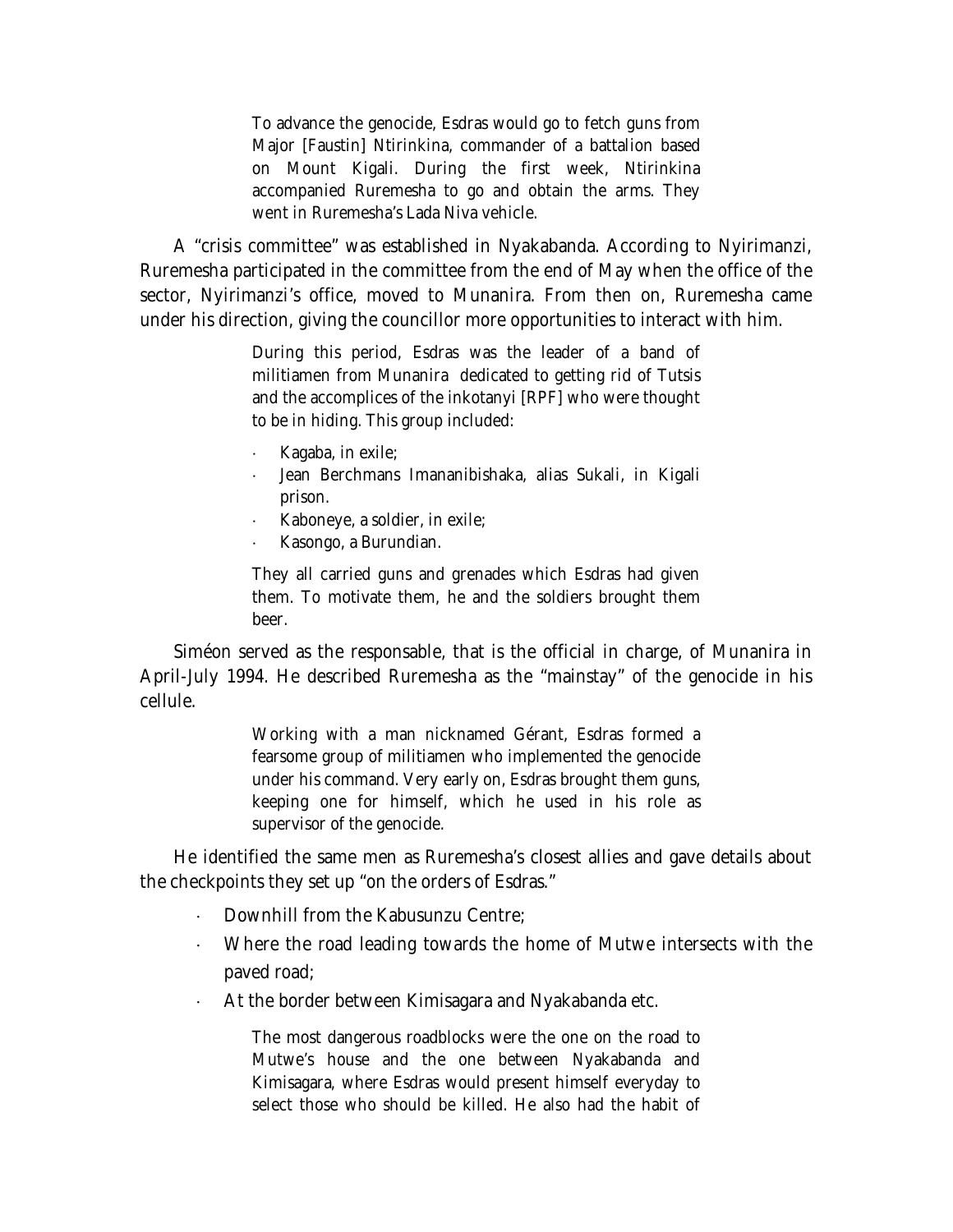To advance the genocide, Esdras would go to fetch guns from Major [Faustin] Ntirinkina, commander of a battalion based on Mount Kigali. During the first week, Ntirinkina accompanied Ruremesha to go and obtain the arms. They went in Ruremesha's Lada Niva vehicle.

A "crisis committee" was established in Nyakabanda. According to Nyirimanzi, Ruremesha participated in the committee from the end of May when the office of the sector, Nyirimanzi's office, moved to Munanira. From then on, Ruremesha came under his direction, giving the councillor more opportunities to interact with him.

> During this period, Esdras was the leader of a band of militiamen from Munanira dedicated to getting rid of Tutsis and the accomplices of the *inkotanyi* [RPF] who were thought to be in hiding. This group included:

- Kagaba, in exile;
- Jean Berchmans Imananibishaka, alias Sukali, in Kigali prison.
- $\cdot$  Kaboneye, a soldier, in exile;
- Kasongo, a Burundian.

They all carried guns and grenades which Esdras had given them. To motivate them, he and the soldiers brought them beer.

Siméon served as the *responsable*, that is the official in charge, of Munanira in April-July 1994. He described Ruremesha as the "mainstay" of the genocide in his cellule.

> Working with a man nicknamed Gérant, Esdras formed a fearsome group of militiamen who implemented the genocide under his command. Very early on, Esdras brought them guns, keeping one for himself, which he used in his role as supervisor of the genocide.

He identified the same men as Ruremesha's closest allies and gave details about the checkpoints they set up "on the orders of Esdras."

- Downhill from the Kabusunzu Centre;
- Where the road leading towards the home of Mutwe intersects with the paved road;
- At the border between Kimisagara and Nyakabanda etc.

The most dangerous roadblocks were the one on the road to Mutwe's house and the one between Nyakabanda and Kimisagara, where Esdras would present himself everyday to select those who should be killed. He also had the habit of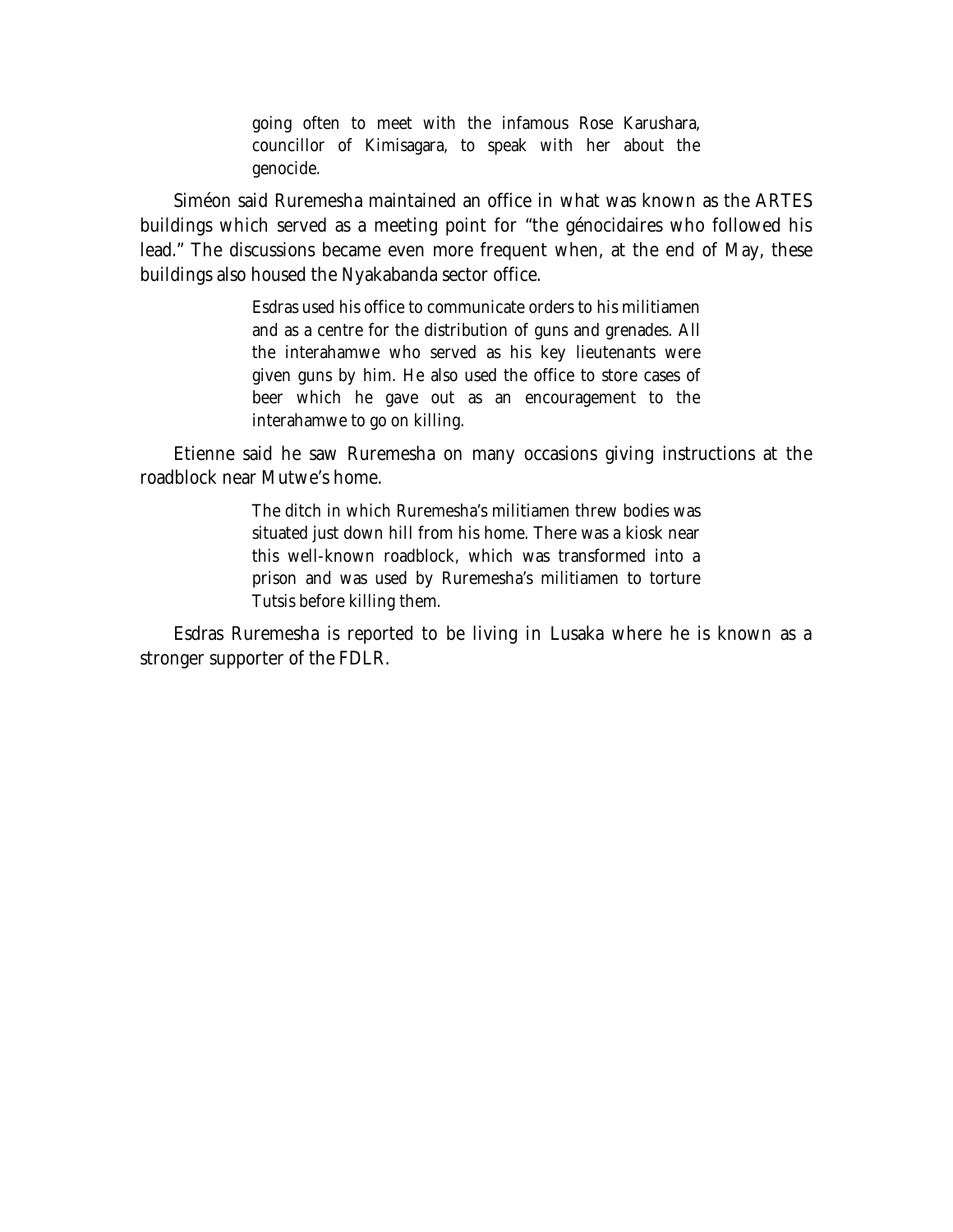going often to meet with the infamous Rose Karushara, councillor of Kimisagara, to speak with her about the genocide.

Siméon said Ruremesha maintained an office in what was known as the ARTES buildings which served as a meeting point for "the génocidaires who followed his lead." The discussions became even more frequent when, at the end of May, these buildings also housed the Nyakabanda sector office.

> Esdras used his office to communicate orders to his militiamen and as a centre for the distribution of guns and grenades. All the interahamwe who served as his key lieutenants were given guns by him. He also used the office to store cases of beer which he gave out as an encouragement to the interahamwe to go on killing.

Etienne said he saw Ruremesha on many occasions giving instructions at the roadblock near Mutwe's home.

> The ditch in which Ruremesha's militiamen threw bodies was situated just down hill from his home. There was a kiosk near this well-known roadblock, which was transformed into a prison and was used by Ruremesha's militiamen to torture Tutsis before killing them.

Esdras Ruremesha is reported to be living in Lusaka where he is known as a stronger supporter of the FDLR.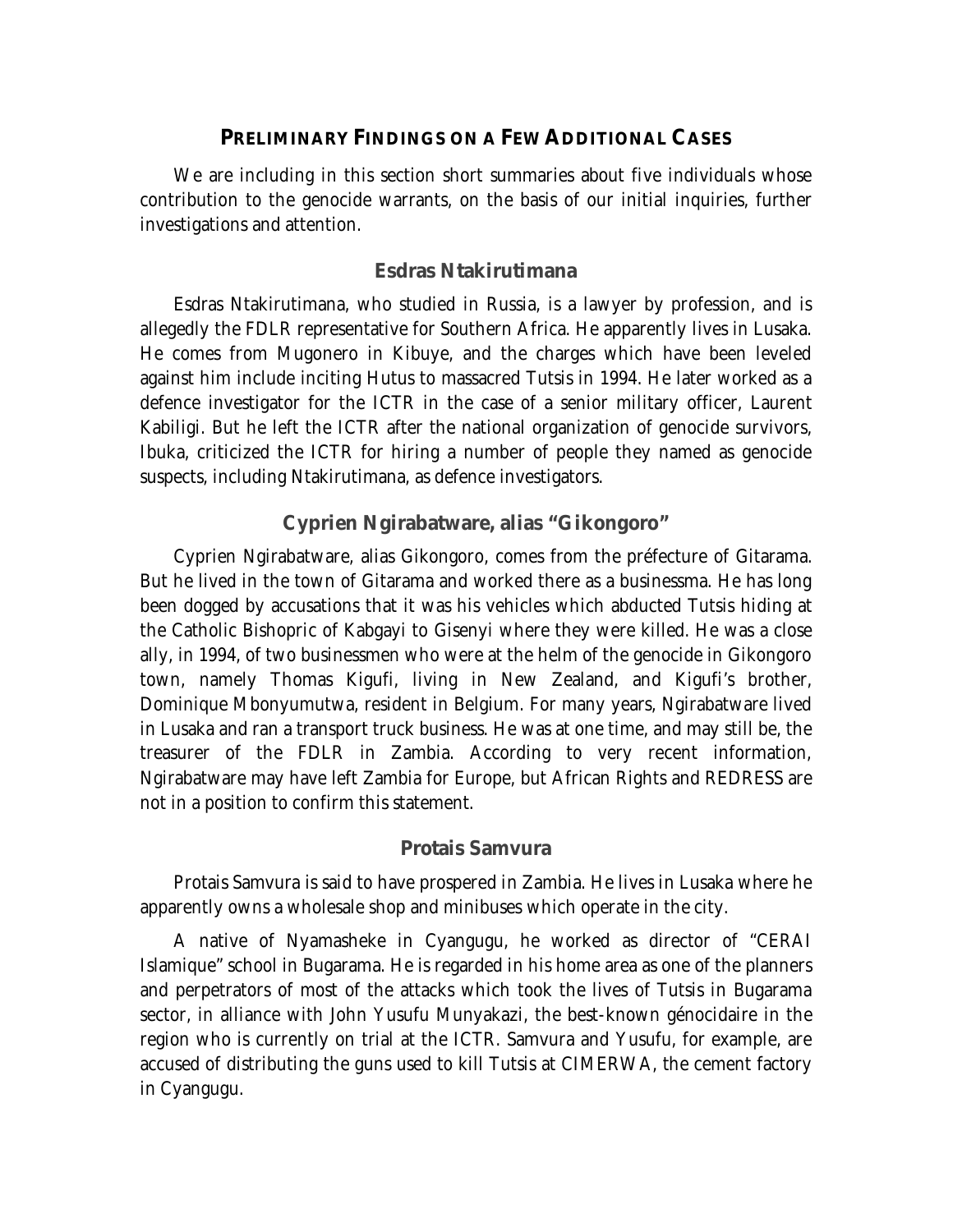#### **PRELIMINARY FINDINGS ON A FEW ADDITIONAL CASES**

We are including in this section short summaries about five individuals whose contribution to the genocide warrants, on the basis of our initial inquiries, further investigations and attention.

#### **Esdras Ntakirutimana**

Esdras Ntakirutimana, who studied in Russia, is a lawyer by profession, and is allegedly the FDLR representative for Southern Africa. He apparently lives in Lusaka. He comes from Mugonero in Kibuye, and the charges which have been leveled against him include inciting Hutus to massacred Tutsis in 1994. He later worked as a defence investigator for the ICTR in the case of a senior military officer, Laurent Kabiligi. But he left the ICTR after the national organization of genocide survivors, Ibuka, criticized the ICTR for hiring a number of people they named as genocide suspects, including Ntakirutimana, as defence investigators.

# **Cyprien Ngirabatware, alias "Gikongoro"**

Cyprien Ngirabatware, alias Gikongoro, comes from the préfecture of Gitarama. But he lived in the town of Gitarama and worked there as a businessma. He has long been dogged by accusations that it was his vehicles which abducted Tutsis hiding at the Catholic Bishopric of Kabgayi to Gisenyi where they were killed. He was a close ally, in 1994, of two businessmen who were at the helm of the genocide in Gikongoro town, namely Thomas Kigufi, living in New Zealand, and Kigufi's brother, Dominique Mbonyumutwa, resident in Belgium. For many years, Ngirabatware lived in Lusaka and ran a transport truck business. He was at one time, and may still be, the treasurer of the FDLR in Zambia. According to very recent information, Ngirabatware may have left Zambia for Europe, but *African Rights* and REDRESS are not in a position to confirm this statement.

#### **Protais Samvura**

Protais Samvura is said to have prospered in Zambia. He lives in Lusaka where he apparently owns a wholesale shop and minibuses which operate in the city.

A native of Nyamasheke in Cyangugu, he worked as director of "CERAI Islamique" school in Bugarama. He is regarded in his home area as one of the planners and perpetrators of most of the attacks which took the lives of Tutsis in Bugarama sector, in alliance with John Yusufu Munyakazi, the best-known génocidaire in the region who is currently on trial at the ICTR. Samvura and Yusufu, for example, are accused of distributing the guns used to kill Tutsis at CIMERWA, the cement factory in Cyangugu.